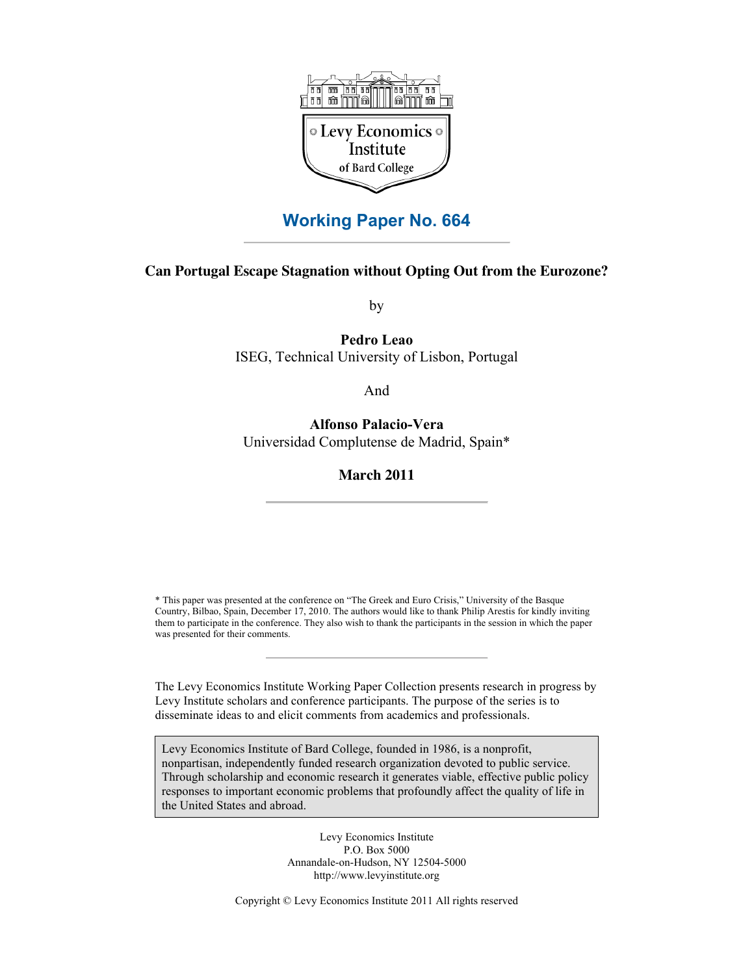

# **Working Paper No. 664**

## **Can Portugal Escape Stagnation without Opting Out from the Eurozone?**

by

**Pedro Leao** ISEG, Technical University of Lisbon, Portugal

And

**Alfonso Palacio-Vera** Universidad Complutense de Madrid, Spain\*

## **March 2011**

\* This paper was presented at the conference on "The Greek and Euro Crisis," University of the Basque Country, Bilbao, Spain, December 17, 2010. The authors would like to thank Philip Arestis for kindly inviting them to participate in the conference. They also wish to thank the participants in the session in which the paper was presented for their comments.

The Levy Economics Institute Working Paper Collection presents research in progress by Levy Institute scholars and conference participants. The purpose of the series is to disseminate ideas to and elicit comments from academics and professionals.

Levy Economics Institute of Bard College, founded in 1986, is a nonprofit, nonpartisan, independently funded research organization devoted to public service. Through scholarship and economic research it generates viable, effective public policy responses to important economic problems that profoundly affect the quality of life in the United States and abroad.

> Levy Economics Institute P.O. Box 5000 Annandale-on-Hudson, NY 12504-5000 http://www.levyinstitute.org

Copyright © Levy Economics Institute 2011 All rights reserved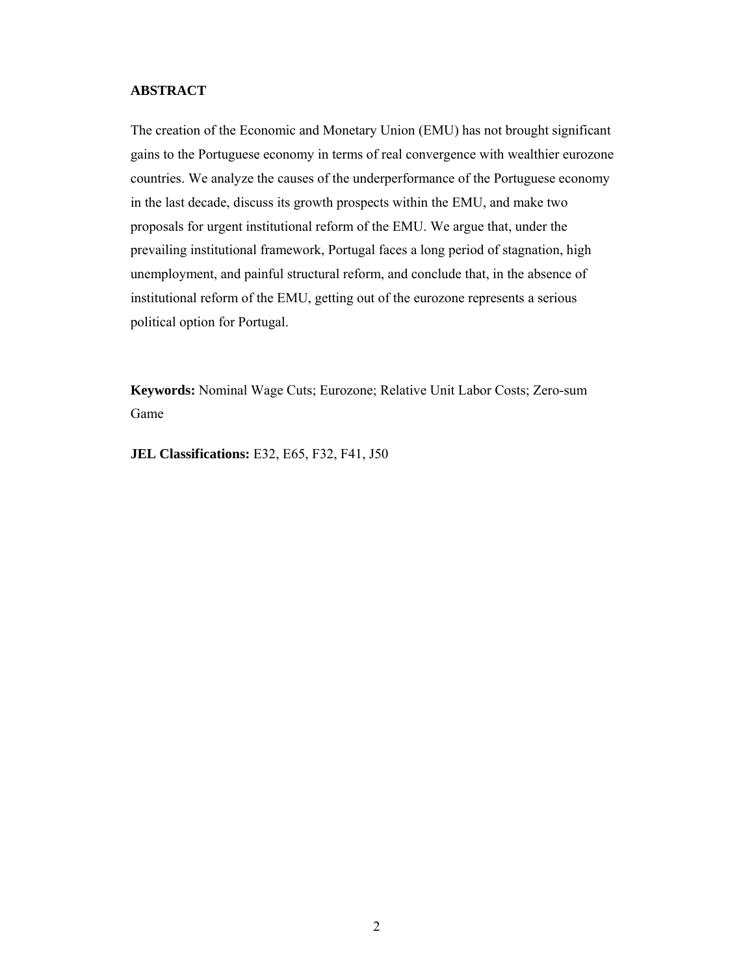## **ABSTRACT**

The creation of the Economic and Monetary Union (EMU) has not brought significant gains to the Portuguese economy in terms of real convergence with wealthier eurozone countries. We analyze the causes of the underperformance of the Portuguese economy in the last decade, discuss its growth prospects within the EMU, and make two proposals for urgent institutional reform of the EMU. We argue that, under the prevailing institutional framework, Portugal faces a long period of stagnation, high unemployment, and painful structural reform, and conclude that, in the absence of institutional reform of the EMU, getting out of the eurozone represents a serious political option for Portugal.

**Keywords:** Nominal Wage Cuts; Eurozone; Relative Unit Labor Costs; Zero-sum Game

**JEL Classifications:** E32, E65, F32, F41, J50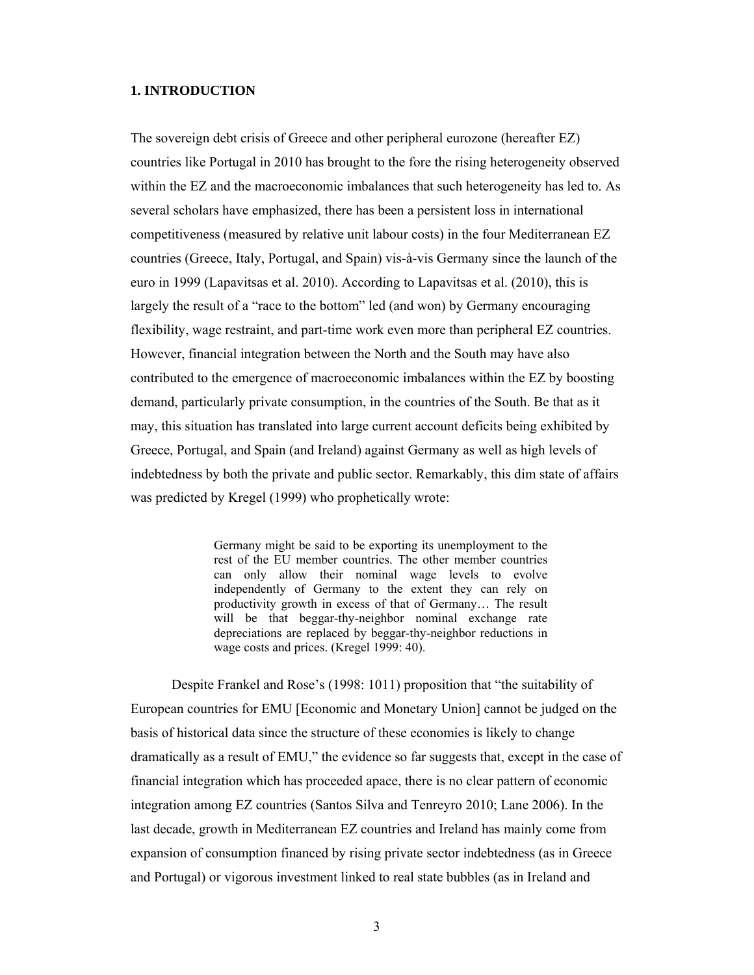## **1. INTRODUCTION**

The sovereign debt crisis of Greece and other peripheral eurozone (hereafter EZ) countries like Portugal in 2010 has brought to the fore the rising heterogeneity observed within the EZ and the macroeconomic imbalances that such heterogeneity has led to. As several scholars have emphasized, there has been a persistent loss in international competitiveness (measured by relative unit labour costs) in the four Mediterranean EZ countries (Greece, Italy, Portugal, and Spain) vis-à-vis Germany since the launch of the euro in 1999 (Lapavitsas et al. 2010). According to Lapavitsas et al. (2010), this is largely the result of a "race to the bottom" led (and won) by Germany encouraging flexibility, wage restraint, and part-time work even more than peripheral EZ countries. However, financial integration between the North and the South may have also contributed to the emergence of macroeconomic imbalances within the EZ by boosting demand, particularly private consumption, in the countries of the South. Be that as it may, this situation has translated into large current account deficits being exhibited by Greece, Portugal, and Spain (and Ireland) against Germany as well as high levels of indebtedness by both the private and public sector. Remarkably, this dim state of affairs was predicted by Kregel (1999) who prophetically wrote:

> Germany might be said to be exporting its unemployment to the rest of the EU member countries. The other member countries can only allow their nominal wage levels to evolve independently of Germany to the extent they can rely on productivity growth in excess of that of Germany… The result will be that beggar-thy-neighbor nominal exchange rate depreciations are replaced by beggar-thy-neighbor reductions in wage costs and prices. (Kregel 1999: 40).

Despite Frankel and Rose's (1998: 1011) proposition that "the suitability of European countries for EMU [Economic and Monetary Union] cannot be judged on the basis of historical data since the structure of these economies is likely to change dramatically as a result of EMU," the evidence so far suggests that, except in the case of financial integration which has proceeded apace, there is no clear pattern of economic integration among EZ countries (Santos Silva and Tenreyro 2010; Lane 2006). In the last decade, growth in Mediterranean EZ countries and Ireland has mainly come from expansion of consumption financed by rising private sector indebtedness (as in Greece and Portugal) or vigorous investment linked to real state bubbles (as in Ireland and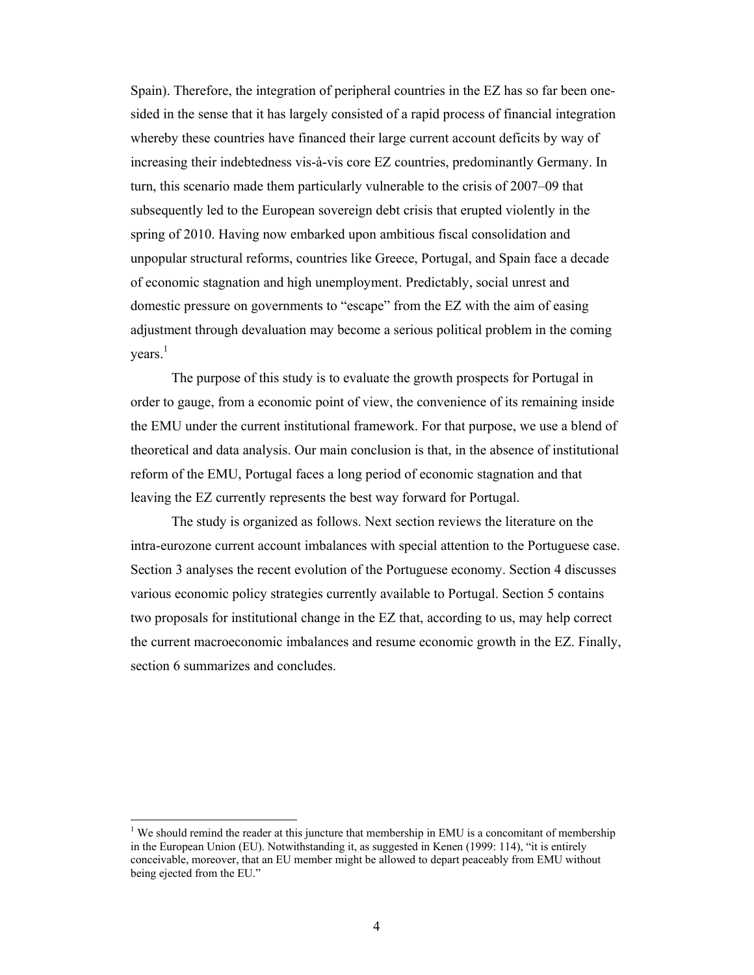Spain). Therefore, the integration of peripheral countries in the EZ has so far been onesided in the sense that it has largely consisted of a rapid process of financial integration whereby these countries have financed their large current account deficits by way of increasing their indebtedness vis-à-vis core EZ countries, predominantly Germany. In turn, this scenario made them particularly vulnerable to the crisis of 2007–09 that subsequently led to the European sovereign debt crisis that erupted violently in the spring of 2010. Having now embarked upon ambitious fiscal consolidation and unpopular structural reforms, countries like Greece, Portugal, and Spain face a decade of economic stagnation and high unemployment. Predictably, social unrest and domestic pressure on governments to "escape" from the EZ with the aim of easing adjustment through devaluation may become a serious political problem in the coming years. 1

 The purpose of this study is to evaluate the growth prospects for Portugal in order to gauge, from a economic point of view, the convenience of its remaining inside the EMU under the current institutional framework. For that purpose, we use a blend of theoretical and data analysis. Our main conclusion is that, in the absence of institutional reform of the EMU, Portugal faces a long period of economic stagnation and that leaving the EZ currently represents the best way forward for Portugal.

The study is organized as follows. Next section reviews the literature on the intra-eurozone current account imbalances with special attention to the Portuguese case. Section 3 analyses the recent evolution of the Portuguese economy. Section 4 discusses various economic policy strategies currently available to Portugal. Section 5 contains two proposals for institutional change in the EZ that, according to us, may help correct the current macroeconomic imbalances and resume economic growth in the EZ. Finally, section 6 summarizes and concludes.

<sup>&</sup>lt;sup>1</sup> We should remind the reader at this juncture that membership in EMU is a concomitant of membership in the European Union (EU). Notwithstanding it, as suggested in Kenen (1999: 114), "it is entirely conceivable, moreover, that an EU member might be allowed to depart peaceably from EMU without being ejected from the EU."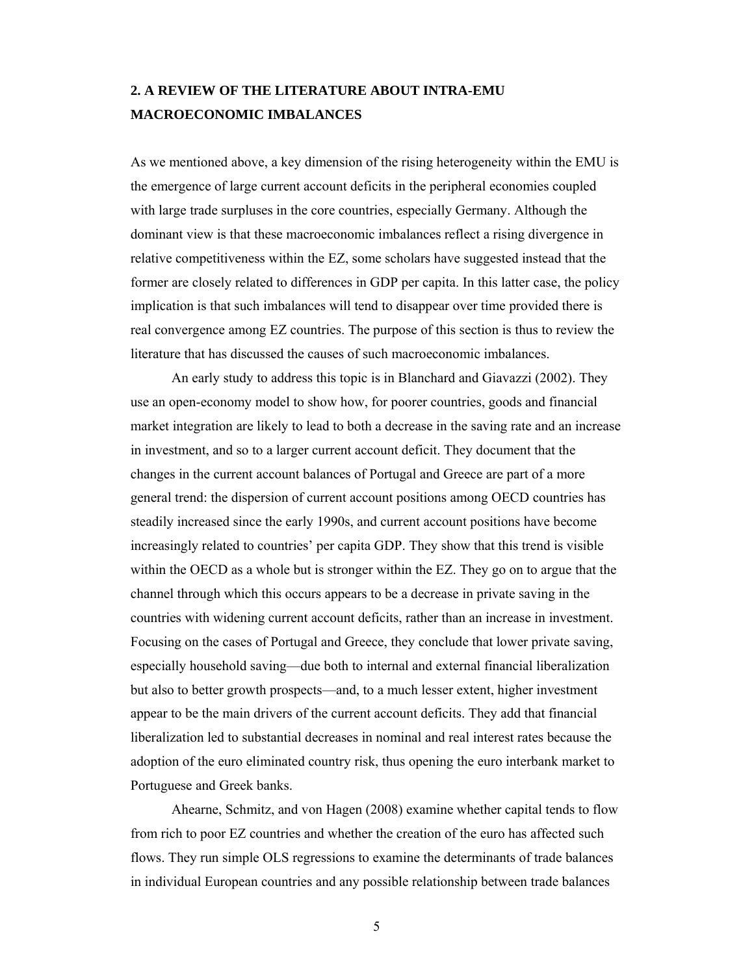# **2. A REVIEW OF THE LITERATURE ABOUT INTRA-EMU MACROECONOMIC IMBALANCES**

As we mentioned above, a key dimension of the rising heterogeneity within the EMU is the emergence of large current account deficits in the peripheral economies coupled with large trade surpluses in the core countries, especially Germany. Although the dominant view is that these macroeconomic imbalances reflect a rising divergence in relative competitiveness within the EZ, some scholars have suggested instead that the former are closely related to differences in GDP per capita. In this latter case, the policy implication is that such imbalances will tend to disappear over time provided there is real convergence among EZ countries. The purpose of this section is thus to review the literature that has discussed the causes of such macroeconomic imbalances.

An early study to address this topic is in Blanchard and Giavazzi (2002). They use an open-economy model to show how, for poorer countries, goods and financial market integration are likely to lead to both a decrease in the saving rate and an increase in investment, and so to a larger current account deficit. They document that the changes in the current account balances of Portugal and Greece are part of a more general trend: the dispersion of current account positions among OECD countries has steadily increased since the early 1990s, and current account positions have become increasingly related to countries' per capita GDP. They show that this trend is visible within the OECD as a whole but is stronger within the EZ. They go on to argue that the channel through which this occurs appears to be a decrease in private saving in the countries with widening current account deficits, rather than an increase in investment. Focusing on the cases of Portugal and Greece, they conclude that lower private saving, especially household saving—due both to internal and external financial liberalization but also to better growth prospects—and, to a much lesser extent, higher investment appear to be the main drivers of the current account deficits. They add that financial liberalization led to substantial decreases in nominal and real interest rates because the adoption of the euro eliminated country risk, thus opening the euro interbank market to Portuguese and Greek banks.

Ahearne, Schmitz, and von Hagen (2008) examine whether capital tends to flow from rich to poor EZ countries and whether the creation of the euro has affected such flows. They run simple OLS regressions to examine the determinants of trade balances in individual European countries and any possible relationship between trade balances

5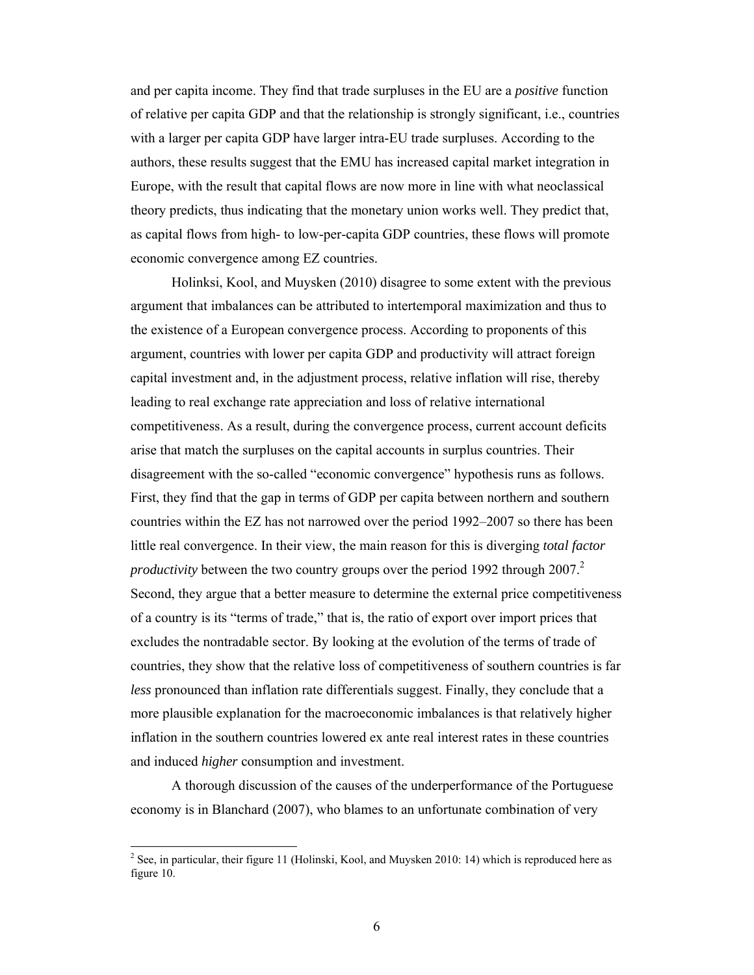and per capita income. They find that trade surpluses in the EU are a *positive* function of relative per capita GDP and that the relationship is strongly significant, i.e., countries with a larger per capita GDP have larger intra-EU trade surpluses. According to the authors, these results suggest that the EMU has increased capital market integration in Europe, with the result that capital flows are now more in line with what neoclassical theory predicts, thus indicating that the monetary union works well. They predict that, as capital flows from high- to low-per-capita GDP countries, these flows will promote economic convergence among EZ countries.

Holinksi, Kool, and Muysken (2010) disagree to some extent with the previous argument that imbalances can be attributed to intertemporal maximization and thus to the existence of a European convergence process. According to proponents of this argument, countries with lower per capita GDP and productivity will attract foreign capital investment and, in the adjustment process, relative inflation will rise, thereby leading to real exchange rate appreciation and loss of relative international competitiveness. As a result, during the convergence process, current account deficits arise that match the surpluses on the capital accounts in surplus countries. Their disagreement with the so-called "economic convergence" hypothesis runs as follows. First, they find that the gap in terms of GDP per capita between northern and southern countries within the EZ has not narrowed over the period 1992–2007 so there has been little real convergence. In their view, the main reason for this is diverging *total factor productivity* between the two country groups over the period 1992 through 2007.<sup>2</sup> Second, they argue that a better measure to determine the external price competitiveness of a country is its "terms of trade," that is, the ratio of export over import prices that excludes the nontradable sector. By looking at the evolution of the terms of trade of countries, they show that the relative loss of competitiveness of southern countries is far *less* pronounced than inflation rate differentials suggest. Finally, they conclude that a more plausible explanation for the macroeconomic imbalances is that relatively higher inflation in the southern countries lowered ex ante real interest rates in these countries and induced *higher* consumption and investment.

A thorough discussion of the causes of the underperformance of the Portuguese economy is in Blanchard (2007), who blames to an unfortunate combination of very

<sup>&</sup>lt;sup>2</sup> See, in particular, their figure 11 (Holinski, Kool, and Muysken 2010: 14) which is reproduced here as figure 10.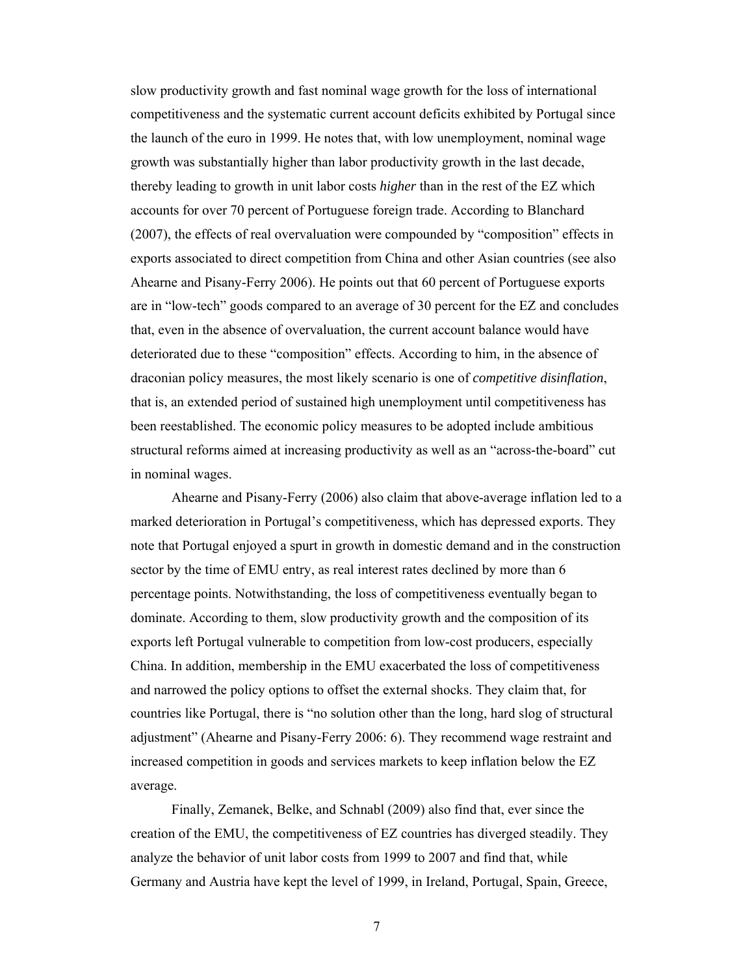slow productivity growth and fast nominal wage growth for the loss of international competitiveness and the systematic current account deficits exhibited by Portugal since the launch of the euro in 1999. He notes that, with low unemployment, nominal wage growth was substantially higher than labor productivity growth in the last decade, thereby leading to growth in unit labor costs *higher* than in the rest of the EZ which accounts for over 70 percent of Portuguese foreign trade. According to Blanchard (2007), the effects of real overvaluation were compounded by "composition" effects in exports associated to direct competition from China and other Asian countries (see also Ahearne and Pisany-Ferry 2006). He points out that 60 percent of Portuguese exports are in "low-tech" goods compared to an average of 30 percent for the EZ and concludes that, even in the absence of overvaluation, the current account balance would have deteriorated due to these "composition" effects. According to him, in the absence of draconian policy measures, the most likely scenario is one of *competitive disinflation*, that is, an extended period of sustained high unemployment until competitiveness has been reestablished. The economic policy measures to be adopted include ambitious structural reforms aimed at increasing productivity as well as an "across-the-board" cut in nominal wages.

Ahearne and Pisany-Ferry (2006) also claim that above-average inflation led to a marked deterioration in Portugal's competitiveness, which has depressed exports. They note that Portugal enjoyed a spurt in growth in domestic demand and in the construction sector by the time of EMU entry, as real interest rates declined by more than 6 percentage points. Notwithstanding, the loss of competitiveness eventually began to dominate. According to them, slow productivity growth and the composition of its exports left Portugal vulnerable to competition from low-cost producers, especially China. In addition, membership in the EMU exacerbated the loss of competitiveness and narrowed the policy options to offset the external shocks. They claim that, for countries like Portugal, there is "no solution other than the long, hard slog of structural adjustment" (Ahearne and Pisany-Ferry 2006: 6). They recommend wage restraint and increased competition in goods and services markets to keep inflation below the EZ average.

Finally, Zemanek, Belke, and Schnabl (2009) also find that, ever since the creation of the EMU, the competitiveness of EZ countries has diverged steadily. They analyze the behavior of unit labor costs from 1999 to 2007 and find that, while Germany and Austria have kept the level of 1999, in Ireland, Portugal, Spain, Greece,

7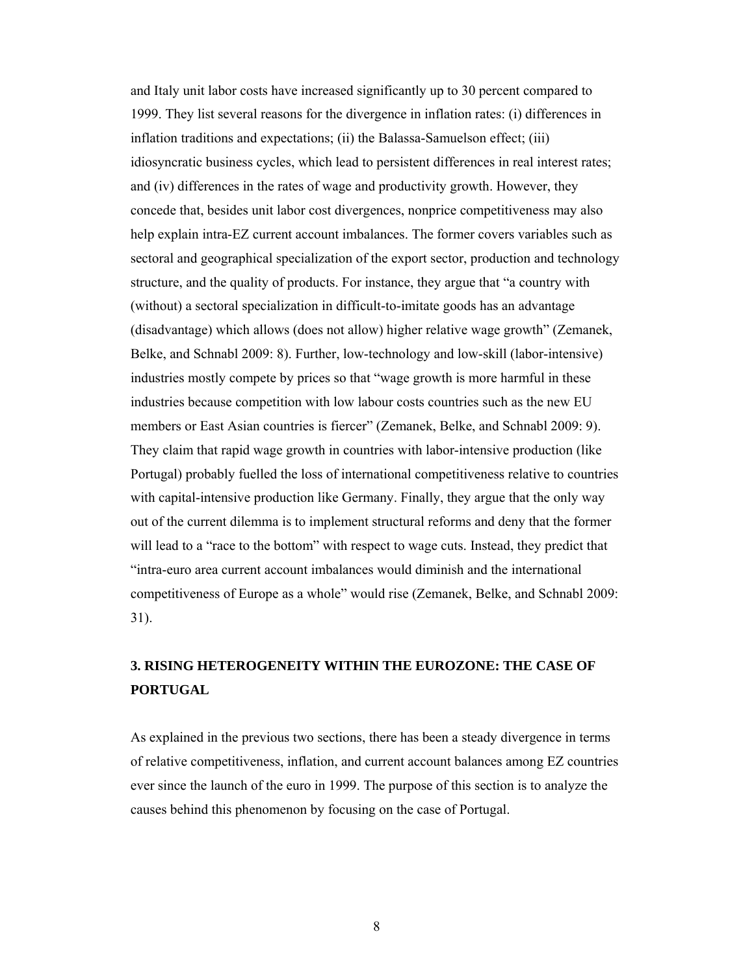and Italy unit labor costs have increased significantly up to 30 percent compared to 1999. They list several reasons for the divergence in inflation rates: (i) differences in inflation traditions and expectations; (ii) the Balassa-Samuelson effect; (iii) idiosyncratic business cycles, which lead to persistent differences in real interest rates; and (iv) differences in the rates of wage and productivity growth. However, they concede that, besides unit labor cost divergences, nonprice competitiveness may also help explain intra-EZ current account imbalances. The former covers variables such as sectoral and geographical specialization of the export sector, production and technology structure, and the quality of products. For instance, they argue that "a country with (without) a sectoral specialization in difficult-to-imitate goods has an advantage (disadvantage) which allows (does not allow) higher relative wage growth" (Zemanek, Belke, and Schnabl 2009: 8). Further, low-technology and low-skill (labor-intensive) industries mostly compete by prices so that "wage growth is more harmful in these industries because competition with low labour costs countries such as the new EU members or East Asian countries is fiercer" (Zemanek, Belke, and Schnabl 2009: 9). They claim that rapid wage growth in countries with labor-intensive production (like Portugal) probably fuelled the loss of international competitiveness relative to countries with capital-intensive production like Germany. Finally, they argue that the only way out of the current dilemma is to implement structural reforms and deny that the former will lead to a "race to the bottom" with respect to wage cuts. Instead, they predict that "intra-euro area current account imbalances would diminish and the international competitiveness of Europe as a whole" would rise (Zemanek, Belke, and Schnabl 2009: 31).

# **3. RISING HETEROGENEITY WITHIN THE EUROZONE: THE CASE OF PORTUGAL**

As explained in the previous two sections, there has been a steady divergence in terms of relative competitiveness, inflation, and current account balances among EZ countries ever since the launch of the euro in 1999. The purpose of this section is to analyze the causes behind this phenomenon by focusing on the case of Portugal.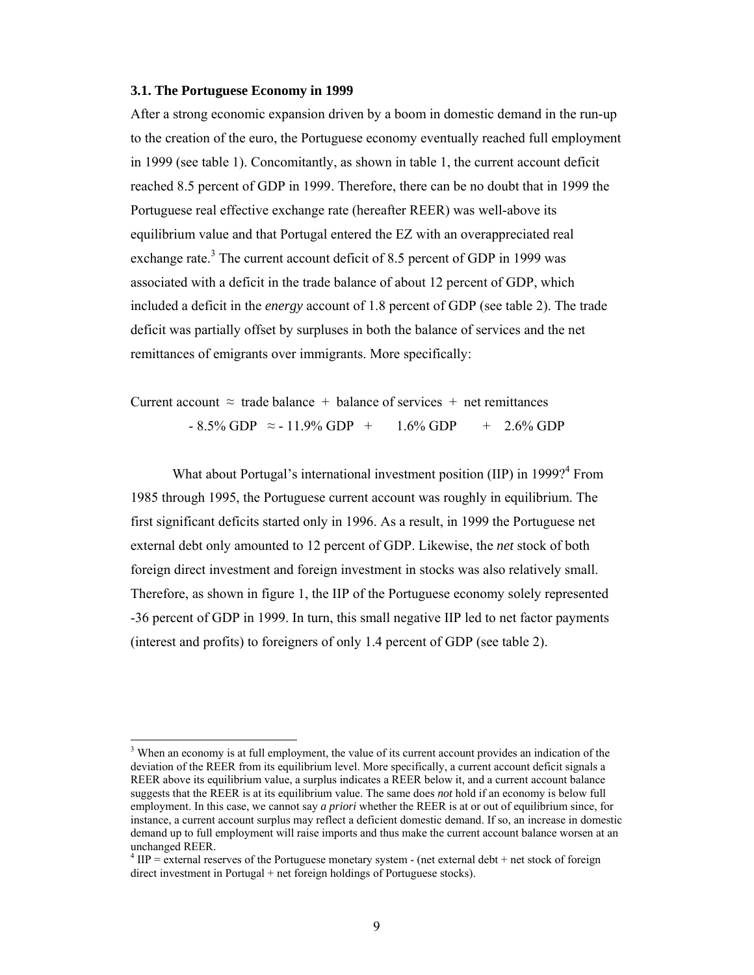#### **3.1. The Portuguese Economy in 1999**

 $\overline{a}$ 

After a strong economic expansion driven by a boom in domestic demand in the run-up to the creation of the euro, the Portuguese economy eventually reached full employment in 1999 (see table 1). Concomitantly, as shown in table 1, the current account deficit reached 8.5 percent of GDP in 1999. Therefore, there can be no doubt that in 1999 the Portuguese real effective exchange rate (hereafter REER) was well-above its equilibrium value and that Portugal entered the EZ with an overappreciated real exchange rate.<sup>3</sup> The current account deficit of 8.5 percent of GDP in 1999 was associated with a deficit in the trade balance of about 12 percent of GDP, which included a deficit in the *energy* account of 1.8 percent of GDP (see table 2). The trade deficit was partially offset by surpluses in both the balance of services and the net remittances of emigrants over immigrants. More specifically:

Current account  $\approx$  trade balance + balance of services + net remittances  $- 8.5\%$  GDP  $\approx - 11.9\%$  GDP  $+ 1.6\%$  GDP  $+ 2.6\%$  GDP

What about Portugal's international investment position (IIP) in 1999?<sup>4</sup> From 1985 through 1995, the Portuguese current account was roughly in equilibrium. The first significant deficits started only in 1996. As a result, in 1999 the Portuguese net external debt only amounted to 12 percent of GDP. Likewise, the *net* stock of both foreign direct investment and foreign investment in stocks was also relatively small. Therefore, as shown in figure 1, the IIP of the Portuguese economy solely represented -36 percent of GDP in 1999. In turn, this small negative IIP led to net factor payments (interest and profits) to foreigners of only 1.4 percent of GDP (see table 2).

<sup>&</sup>lt;sup>3</sup> When an economy is at full employment, the value of its current account provides an indication of the deviation of the REER from its equilibrium level. More specifically, a current account deficit signals a REER above its equilibrium value, a surplus indicates a REER below it, and a current account balance suggests that the REER is at its equilibrium value. The same does *not* hold if an economy is below full employment. In this case, we cannot say *a priori* whether the REER is at or out of equilibrium since, for instance, a current account surplus may reflect a deficient domestic demand. If so, an increase in domestic demand up to full employment will raise imports and thus make the current account balance worsen at an unchanged REER.

 $4$  IIP = external reserves of the Portuguese monetary system - (net external debt + net stock of foreign direct investment in Portugal + net foreign holdings of Portuguese stocks).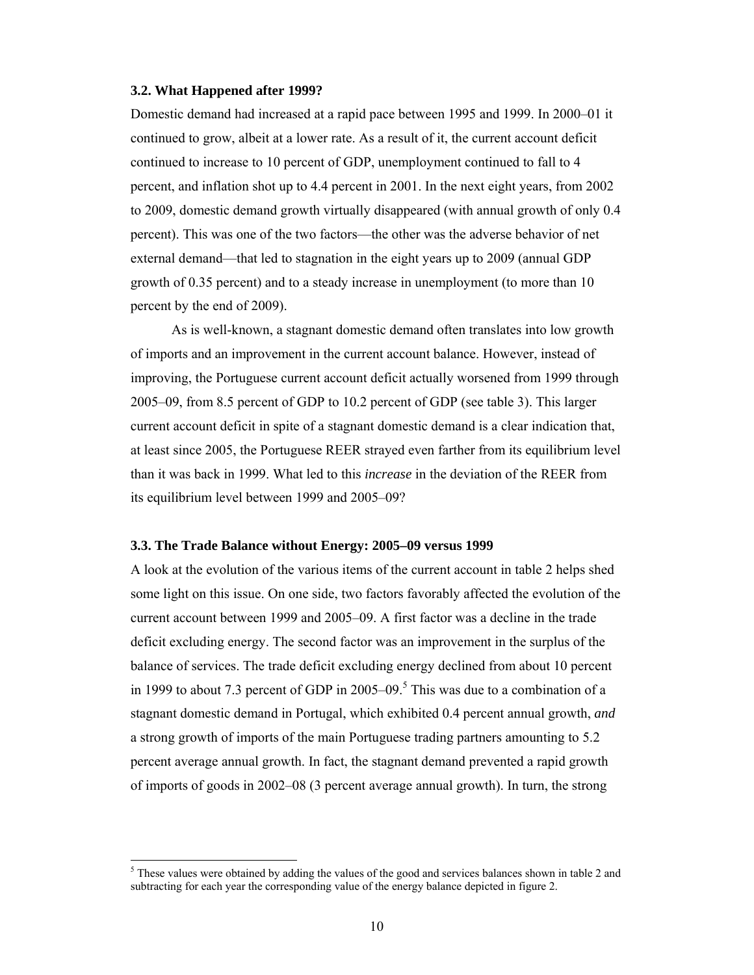#### **3.2. What Happened after 1999?**

Domestic demand had increased at a rapid pace between 1995 and 1999. In 2000–01 it continued to grow, albeit at a lower rate. As a result of it, the current account deficit continued to increase to 10 percent of GDP, unemployment continued to fall to 4 percent, and inflation shot up to 4.4 percent in 2001. In the next eight years, from 2002 to 2009, domestic demand growth virtually disappeared (with annual growth of only 0.4 percent). This was one of the two factors—the other was the adverse behavior of net external demand—that led to stagnation in the eight years up to 2009 (annual GDP growth of 0.35 percent) and to a steady increase in unemployment (to more than 10 percent by the end of 2009).

 As is well-known, a stagnant domestic demand often translates into low growth of imports and an improvement in the current account balance. However, instead of improving, the Portuguese current account deficit actually worsened from 1999 through 2005–09, from 8.5 percent of GDP to 10.2 percent of GDP (see table 3). This larger current account deficit in spite of a stagnant domestic demand is a clear indication that, at least since 2005, the Portuguese REER strayed even farther from its equilibrium level than it was back in 1999. What led to this *increase* in the deviation of the REER from its equilibrium level between 1999 and 2005–09?

#### **3.3. The Trade Balance without Energy: 2005–09 versus 1999**

 $\overline{a}$ 

A look at the evolution of the various items of the current account in table 2 helps shed some light on this issue. On one side, two factors favorably affected the evolution of the current account between 1999 and 2005–09. A first factor was a decline in the trade deficit excluding energy. The second factor was an improvement in the surplus of the balance of services. The trade deficit excluding energy declined from about 10 percent in 1999 to about 7.3 percent of GDP in  $2005-09$ .<sup>5</sup> This was due to a combination of a stagnant domestic demand in Portugal, which exhibited 0.4 percent annual growth, *and* a strong growth of imports of the main Portuguese trading partners amounting to 5.2 percent average annual growth. In fact, the stagnant demand prevented a rapid growth of imports of goods in 2002–08 (3 percent average annual growth). In turn, the strong

 $<sup>5</sup>$  These values were obtained by adding the values of the good and services balances shown in table 2 and</sup> subtracting for each year the corresponding value of the energy balance depicted in figure 2.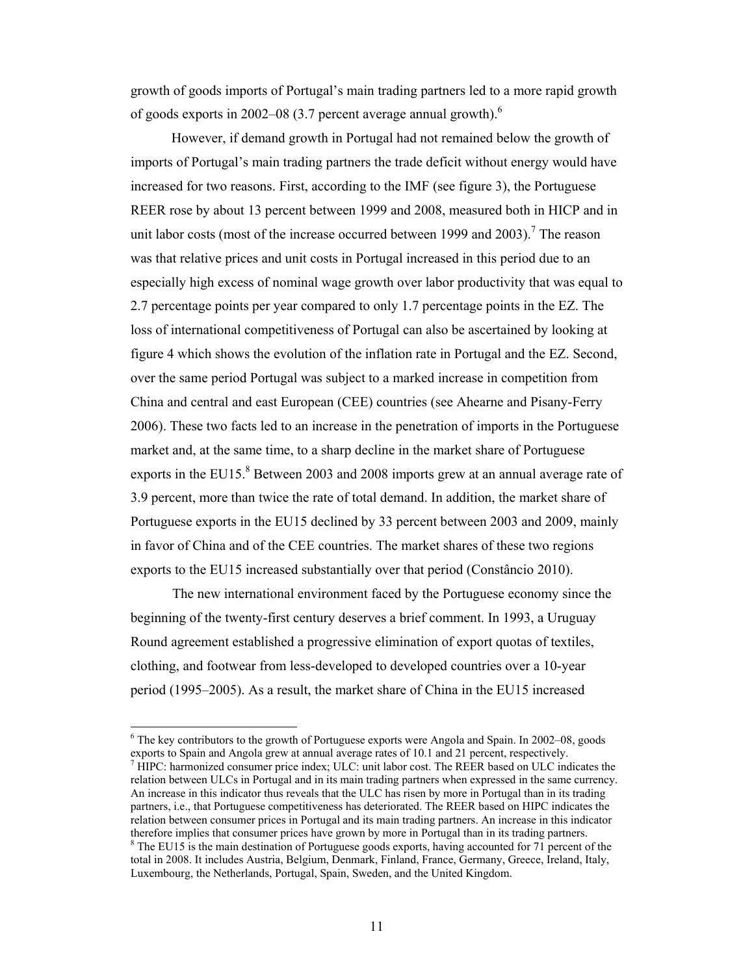growth of goods imports of Portugal's main trading partners led to a more rapid growth of goods exports in 2002–08 (3.7 percent average annual growth). $^6$ 

However, if demand growth in Portugal had not remained below the growth of imports of Portugal's main trading partners the trade deficit without energy would have increased for two reasons. First, according to the IMF (see figure 3), the Portuguese REER rose by about 13 percent between 1999 and 2008, measured both in HICP and in unit labor costs (most of the increase occurred between 1999 and 2003).<sup>7</sup> The reason was that relative prices and unit costs in Portugal increased in this period due to an especially high excess of nominal wage growth over labor productivity that was equal to 2.7 percentage points per year compared to only 1.7 percentage points in the EZ. The loss of international competitiveness of Portugal can also be ascertained by looking at figure 4 which shows the evolution of the inflation rate in Portugal and the EZ. Second, over the same period Portugal was subject to a marked increase in competition from China and central and east European (CEE) countries (see Ahearne and Pisany-Ferry 2006). These two facts led to an increase in the penetration of imports in the Portuguese market and, at the same time, to a sharp decline in the market share of Portuguese exports in the EU15. $8$  Between 2003 and 2008 imports grew at an annual average rate of 3.9 percent, more than twice the rate of total demand. In addition, the market share of Portuguese exports in the EU15 declined by 33 percent between 2003 and 2009, mainly in favor of China and of the CEE countries. The market shares of these two regions exports to the EU15 increased substantially over that period (Constâncio 2010).

The new international environment faced by the Portuguese economy since the beginning of the twenty-first century deserves a brief comment. In 1993, a Uruguay Round agreement established a progressive elimination of export quotas of textiles, clothing, and footwear from less-developed to developed countries over a 10-year period (1995–2005). As a result, the market share of China in the EU15 increased

 $6$  The key contributors to the growth of Portuguese exports were Angola and Spain. In 2002–08, goods exports to Spain and Angola grew at annual average rates of 10.1 and 21 percent, respectively.

<sup>&</sup>lt;sup>7</sup> HIPC: harmonized consumer price index; ULC: unit labor cost. The REER based on ULC indicates the relation between ULCs in Portugal and in its main trading partners when expressed in the same currency. An increase in this indicator thus reveals that the ULC has risen by more in Portugal than in its trading partners, i.e., that Portuguese competitiveness has deteriorated. The REER based on HIPC indicates the relation between consumer prices in Portugal and its main trading partners. An increase in this indicator therefore implies that consumer prices have grown by more in Portugal than in its trading partners.

<sup>&</sup>lt;sup>8</sup> The EU15 is the main destination of Portuguese goods exports, having accounted for 71 percent of the total in 2008. It includes Austria, Belgium, Denmark, Finland, France, Germany, Greece, Ireland, Italy, Luxembourg, the Netherlands, Portugal, Spain, Sweden, and the United Kingdom.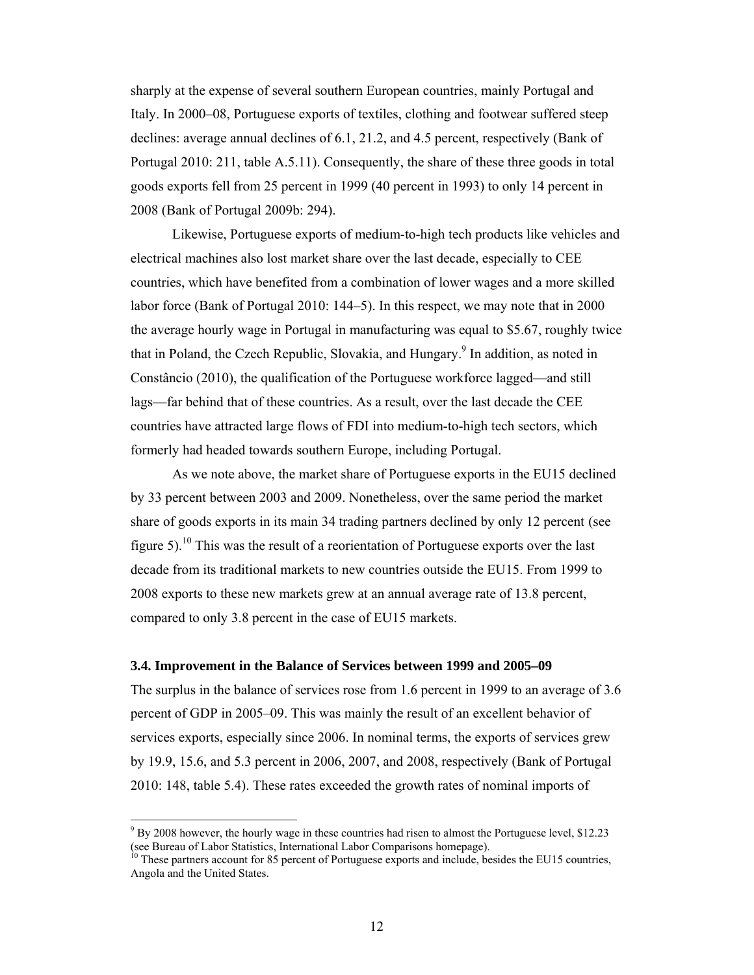sharply at the expense of several southern European countries, mainly Portugal and Italy. In 2000–08, Portuguese exports of textiles, clothing and footwear suffered steep declines: average annual declines of 6.1, 21.2, and 4.5 percent, respectively (Bank of Portugal 2010: 211, table A.5.11). Consequently, the share of these three goods in total goods exports fell from 25 percent in 1999 (40 percent in 1993) to only 14 percent in 2008 (Bank of Portugal 2009b: 294).

Likewise, Portuguese exports of medium-to-high tech products like vehicles and electrical machines also lost market share over the last decade, especially to CEE countries, which have benefited from a combination of lower wages and a more skilled labor force (Bank of Portugal 2010: 144–5). In this respect, we may note that in 2000 the average hourly wage in Portugal in manufacturing was equal to \$5.67, roughly twice that in Poland, the Czech Republic, Slovakia, and Hungary.<sup>9</sup> In addition, as noted in Constâncio (2010), the qualification of the Portuguese workforce lagged—and still lags—far behind that of these countries. As a result, over the last decade the CEE countries have attracted large flows of FDI into medium-to-high tech sectors, which formerly had headed towards southern Europe, including Portugal.

As we note above, the market share of Portuguese exports in the EU15 declined by 33 percent between 2003 and 2009. Nonetheless, over the same period the market share of goods exports in its main 34 trading partners declined by only 12 percent (see figure 5).<sup>10</sup> This was the result of a reorientation of Portuguese exports over the last decade from its traditional markets to new countries outside the EU15. From 1999 to 2008 exports to these new markets grew at an annual average rate of 13.8 percent, compared to only 3.8 percent in the case of EU15 markets.

### **3.4. Improvement in the Balance of Services between 1999 and 2005–09**

 $\overline{a}$ 

The surplus in the balance of services rose from 1.6 percent in 1999 to an average of 3.6 percent of GDP in 2005–09. This was mainly the result of an excellent behavior of services exports, especially since 2006. In nominal terms, the exports of services grew by 19.9, 15.6, and 5.3 percent in 2006, 2007, and 2008, respectively (Bank of Portugal 2010: 148, table 5.4). These rates exceeded the growth rates of nominal imports of

 $9^9$  By 2008 however, the hourly wage in these countries had risen to almost the Portuguese level, \$12.23 (see Bureau of Labor Statistics, International Labor Comparisons homepage).

<sup>&</sup>lt;sup>10</sup> These partners account for 85 percent of Portuguese exports and include, besides the EU15 countries, Angola and the United States.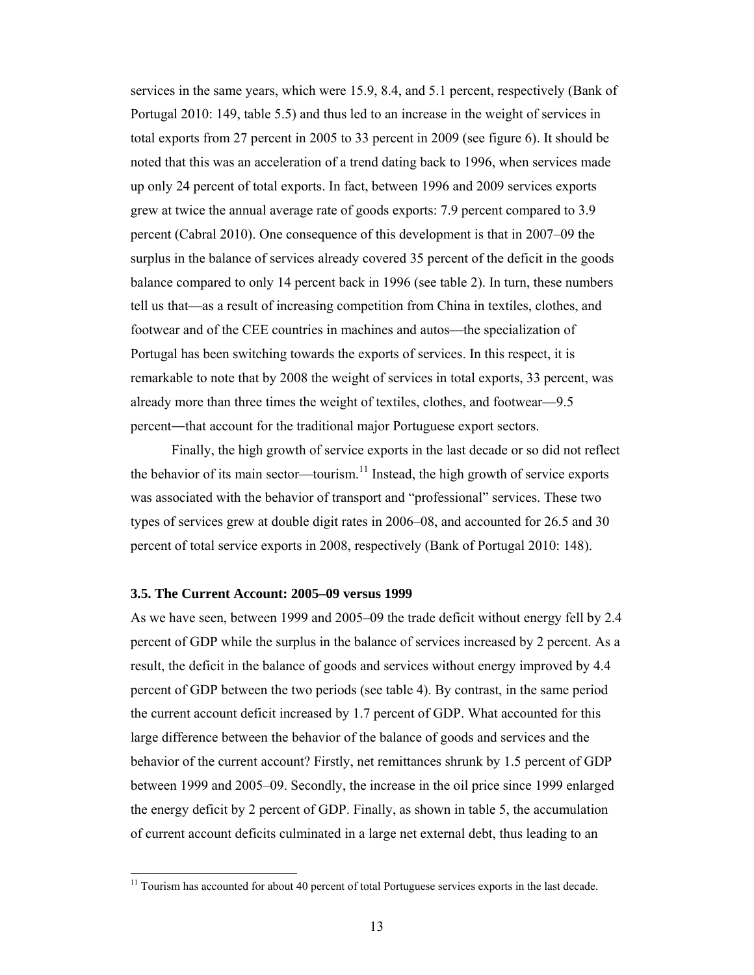services in the same years, which were 15.9, 8.4, and 5.1 percent, respectively (Bank of Portugal 2010: 149, table 5.5) and thus led to an increase in the weight of services in total exports from 27 percent in 2005 to 33 percent in 2009 (see figure 6). It should be noted that this was an acceleration of a trend dating back to 1996, when services made up only 24 percent of total exports. In fact, between 1996 and 2009 services exports grew at twice the annual average rate of goods exports: 7.9 percent compared to 3.9 percent (Cabral 2010). One consequence of this development is that in 2007–09 the surplus in the balance of services already covered 35 percent of the deficit in the goods balance compared to only 14 percent back in 1996 (see table 2). In turn, these numbers tell us that—as a result of increasing competition from China in textiles, clothes, and footwear and of the CEE countries in machines and autos—the specialization of Portugal has been switching towards the exports of services. In this respect, it is remarkable to note that by 2008 the weight of services in total exports, 33 percent, was already more than three times the weight of textiles, clothes, and footwear—9.5 percent—that account for the traditional major Portuguese export sectors.

 Finally, the high growth of service exports in the last decade or so did not reflect the behavior of its main sector—tourism.<sup>11</sup> Instead, the high growth of service exports was associated with the behavior of transport and "professional" services. These two types of services grew at double digit rates in 2006–08, and accounted for 26.5 and 30 percent of total service exports in 2008, respectively (Bank of Portugal 2010: 148).

#### **3.5. The Current Account: 2005–09 versus 1999**

 $\overline{a}$ 

As we have seen, between 1999 and 2005–09 the trade deficit without energy fell by 2.4 percent of GDP while the surplus in the balance of services increased by 2 percent. As a result, the deficit in the balance of goods and services without energy improved by 4.4 percent of GDP between the two periods (see table 4). By contrast, in the same period the current account deficit increased by 1.7 percent of GDP. What accounted for this large difference between the behavior of the balance of goods and services and the behavior of the current account? Firstly, net remittances shrunk by 1.5 percent of GDP between 1999 and 2005–09. Secondly, the increase in the oil price since 1999 enlarged the energy deficit by 2 percent of GDP. Finally, as shown in table 5, the accumulation of current account deficits culminated in a large net external debt, thus leading to an

 $11$  Tourism has accounted for about 40 percent of total Portuguese services exports in the last decade.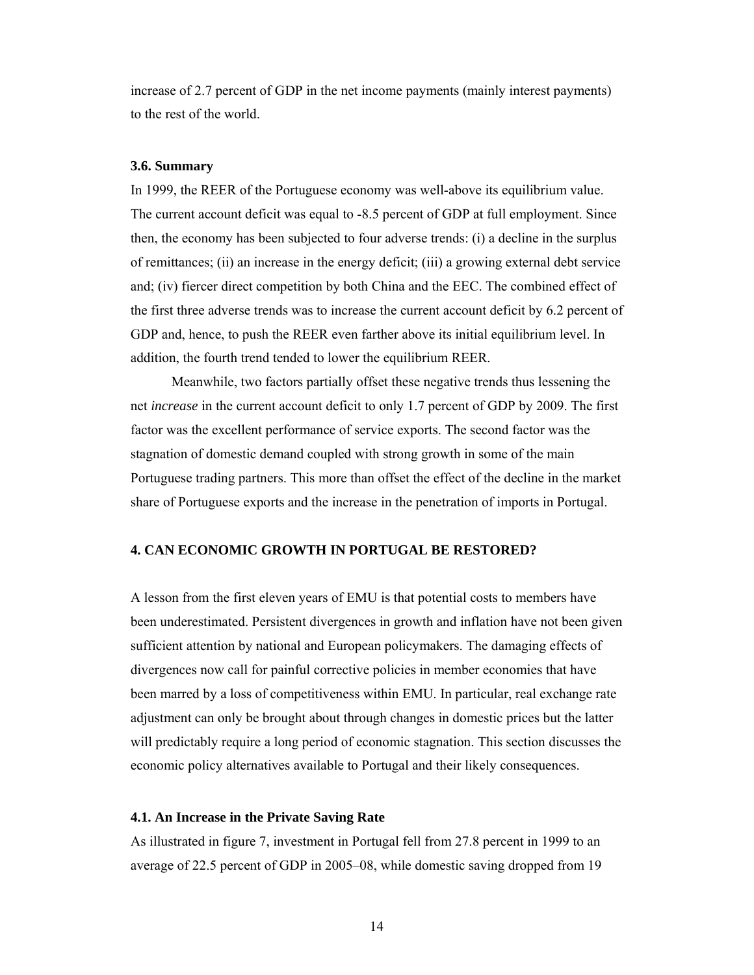increase of 2.7 percent of GDP in the net income payments (mainly interest payments) to the rest of the world.

#### **3.6. Summary**

In 1999, the REER of the Portuguese economy was well-above its equilibrium value. The current account deficit was equal to -8.5 percent of GDP at full employment. Since then, the economy has been subjected to four adverse trends: (i) a decline in the surplus of remittances; (ii) an increase in the energy deficit; (iii) a growing external debt service and; (iv) fiercer direct competition by both China and the EEC. The combined effect of the first three adverse trends was to increase the current account deficit by 6.2 percent of GDP and, hence, to push the REER even farther above its initial equilibrium level. In addition, the fourth trend tended to lower the equilibrium REER.

Meanwhile, two factors partially offset these negative trends thus lessening the net *increase* in the current account deficit to only 1.7 percent of GDP by 2009. The first factor was the excellent performance of service exports. The second factor was the stagnation of domestic demand coupled with strong growth in some of the main Portuguese trading partners. This more than offset the effect of the decline in the market share of Portuguese exports and the increase in the penetration of imports in Portugal.

### **4. CAN ECONOMIC GROWTH IN PORTUGAL BE RESTORED?**

A lesson from the first eleven years of EMU is that potential costs to members have been underestimated. Persistent divergences in growth and inflation have not been given sufficient attention by national and European policymakers. The damaging effects of divergences now call for painful corrective policies in member economies that have been marred by a loss of competitiveness within EMU. In particular, real exchange rate adjustment can only be brought about through changes in domestic prices but the latter will predictably require a long period of economic stagnation. This section discusses the economic policy alternatives available to Portugal and their likely consequences.

### **4.1. An Increase in the Private Saving Rate**

As illustrated in figure 7, investment in Portugal fell from 27.8 percent in 1999 to an average of 22.5 percent of GDP in 2005–08, while domestic saving dropped from 19

14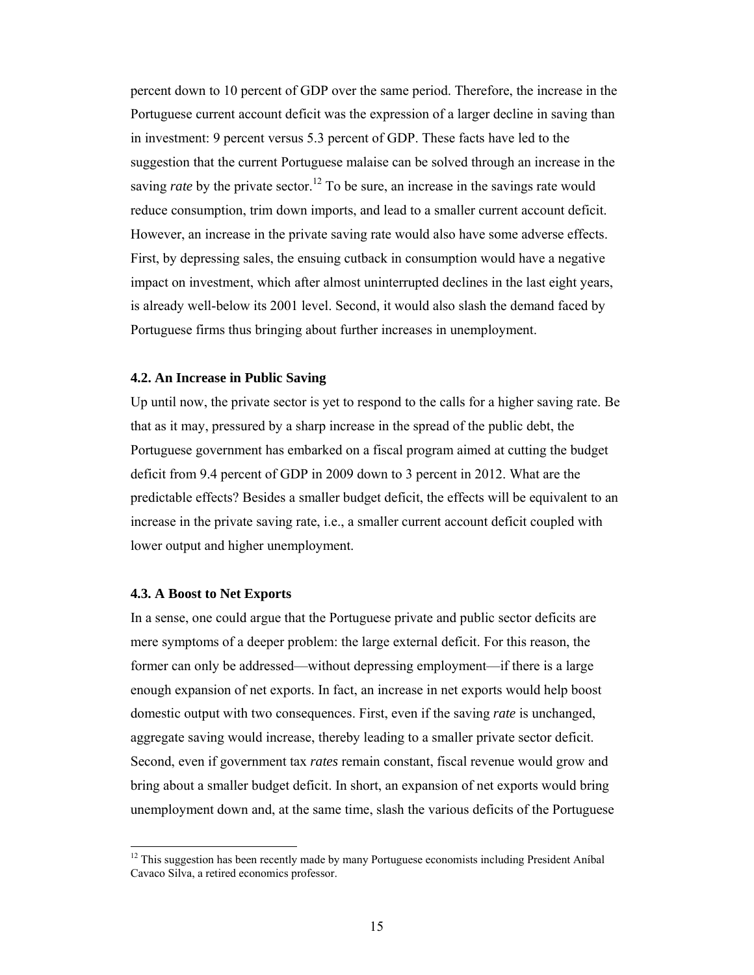percent down to 10 percent of GDP over the same period. Therefore, the increase in the Portuguese current account deficit was the expression of a larger decline in saving than in investment: 9 percent versus 5.3 percent of GDP. These facts have led to the suggestion that the current Portuguese malaise can be solved through an increase in the saving *rate* by the private sector.<sup>12</sup> To be sure, an increase in the savings rate would reduce consumption, trim down imports, and lead to a smaller current account deficit. However, an increase in the private saving rate would also have some adverse effects. First, by depressing sales, the ensuing cutback in consumption would have a negative impact on investment, which after almost uninterrupted declines in the last eight years, is already well-below its 2001 level. Second, it would also slash the demand faced by Portuguese firms thus bringing about further increases in unemployment.

#### **4.2. An Increase in Public Saving**

Up until now, the private sector is yet to respond to the calls for a higher saving rate. Be that as it may, pressured by a sharp increase in the spread of the public debt, the Portuguese government has embarked on a fiscal program aimed at cutting the budget deficit from 9.4 percent of GDP in 2009 down to 3 percent in 2012. What are the predictable effects? Besides a smaller budget deficit, the effects will be equivalent to an increase in the private saving rate, i.e., a smaller current account deficit coupled with lower output and higher unemployment.

#### **4.3. A Boost to Net Exports**

 $\overline{a}$ 

In a sense, one could argue that the Portuguese private and public sector deficits are mere symptoms of a deeper problem: the large external deficit. For this reason, the former can only be addressed—without depressing employment—if there is a large enough expansion of net exports. In fact, an increase in net exports would help boost domestic output with two consequences. First, even if the saving *rate* is unchanged, aggregate saving would increase, thereby leading to a smaller private sector deficit. Second, even if government tax *rates* remain constant, fiscal revenue would grow and bring about a smaller budget deficit. In short, an expansion of net exports would bring unemployment down and, at the same time, slash the various deficits of the Portuguese

<sup>&</sup>lt;sup>12</sup> This suggestion has been recently made by many Portuguese economists including President Aníbal Cavaco Silva, a retired economics professor.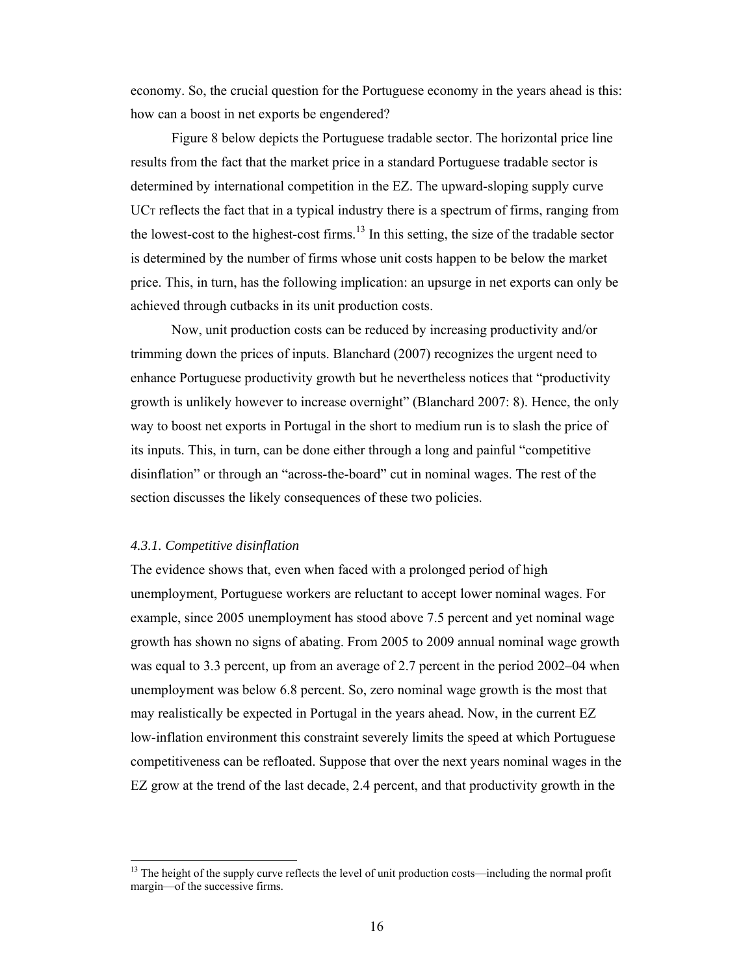economy. So, the crucial question for the Portuguese economy in the years ahead is this: how can a boost in net exports be engendered?

Figure 8 below depicts the Portuguese tradable sector. The horizontal price line results from the fact that the market price in a standard Portuguese tradable sector is determined by international competition in the EZ. The upward-sloping supply curve UCT reflects the fact that in a typical industry there is a spectrum of firms, ranging from the lowest-cost to the highest-cost firms.<sup>13</sup> In this setting, the size of the tradable sector is determined by the number of firms whose unit costs happen to be below the market price. This, in turn, has the following implication: an upsurge in net exports can only be achieved through cutbacks in its unit production costs.

Now, unit production costs can be reduced by increasing productivity and/or trimming down the prices of inputs. Blanchard (2007) recognizes the urgent need to enhance Portuguese productivity growth but he nevertheless notices that "productivity growth is unlikely however to increase overnight" (Blanchard 2007: 8). Hence, the only way to boost net exports in Portugal in the short to medium run is to slash the price of its inputs. This, in turn, can be done either through a long and painful "competitive disinflation" or through an "across-the-board" cut in nominal wages. The rest of the section discusses the likely consequences of these two policies.

### *4.3.1. Competitive disinflation*

 $\overline{a}$ 

The evidence shows that, even when faced with a prolonged period of high unemployment, Portuguese workers are reluctant to accept lower nominal wages. For example, since 2005 unemployment has stood above 7.5 percent and yet nominal wage growth has shown no signs of abating. From 2005 to 2009 annual nominal wage growth was equal to 3.3 percent, up from an average of 2.7 percent in the period 2002–04 when unemployment was below 6.8 percent. So, zero nominal wage growth is the most that may realistically be expected in Portugal in the years ahead. Now, in the current EZ low-inflation environment this constraint severely limits the speed at which Portuguese competitiveness can be refloated. Suppose that over the next years nominal wages in the EZ grow at the trend of the last decade, 2.4 percent, and that productivity growth in the

<sup>&</sup>lt;sup>13</sup> The height of the supply curve reflects the level of unit production costs—including the normal profit margin—of the successive firms.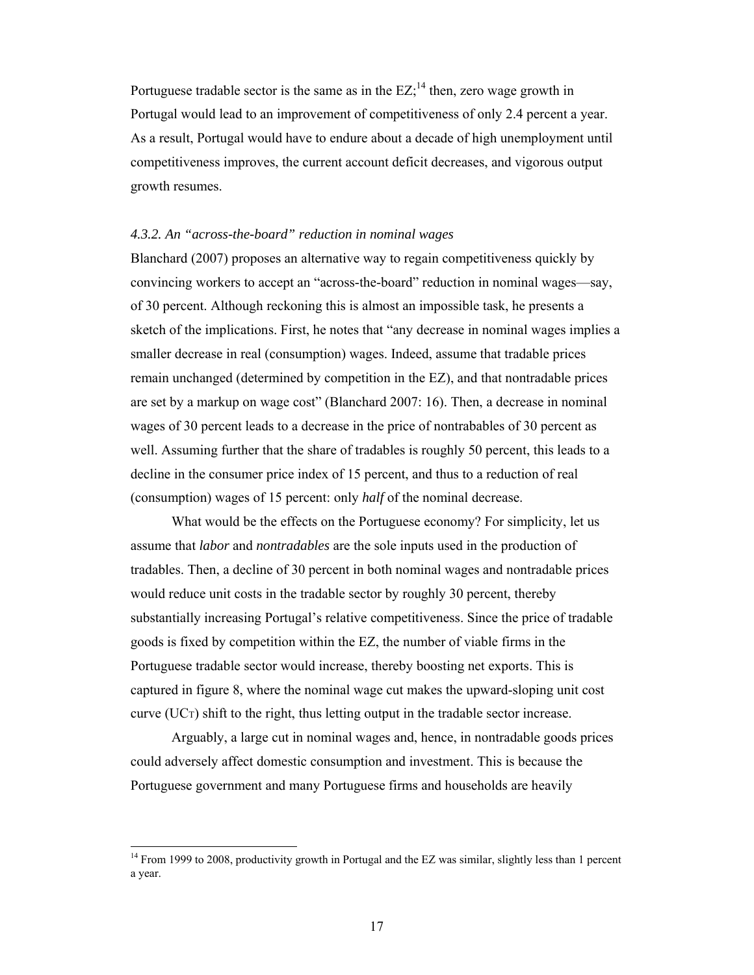Portuguese tradable sector is the same as in the  $EZ<sub>i</sub><sup>14</sup>$  then, zero wage growth in Portugal would lead to an improvement of competitiveness of only 2.4 percent a year. As a result, Portugal would have to endure about a decade of high unemployment until competitiveness improves, the current account deficit decreases, and vigorous output growth resumes.

#### *4.3.2. An "across-the-board" reduction in nominal wages*

Blanchard (2007) proposes an alternative way to regain competitiveness quickly by convincing workers to accept an "across-the-board" reduction in nominal wages—say, of 30 percent. Although reckoning this is almost an impossible task, he presents a sketch of the implications. First, he notes that "any decrease in nominal wages implies a smaller decrease in real (consumption) wages. Indeed, assume that tradable prices remain unchanged (determined by competition in the EZ), and that nontradable prices are set by a markup on wage cost" (Blanchard 2007: 16). Then, a decrease in nominal wages of 30 percent leads to a decrease in the price of nontrabables of 30 percent as well. Assuming further that the share of tradables is roughly 50 percent, this leads to a decline in the consumer price index of 15 percent, and thus to a reduction of real (consumption) wages of 15 percent: only *half* of the nominal decrease.

What would be the effects on the Portuguese economy? For simplicity, let us assume that *labor* and *nontradables* are the sole inputs used in the production of tradables. Then, a decline of 30 percent in both nominal wages and nontradable prices would reduce unit costs in the tradable sector by roughly 30 percent, thereby substantially increasing Portugal's relative competitiveness. Since the price of tradable goods is fixed by competition within the EZ, the number of viable firms in the Portuguese tradable sector would increase, thereby boosting net exports. This is captured in figure 8, where the nominal wage cut makes the upward-sloping unit cost curve  $(UCr)$  shift to the right, thus letting output in the tradable sector increase.

Arguably, a large cut in nominal wages and, hence, in nontradable goods prices could adversely affect domestic consumption and investment. This is because the Portuguese government and many Portuguese firms and households are heavily

<sup>&</sup>lt;sup>14</sup> From 1999 to 2008, productivity growth in Portugal and the EZ was similar, slightly less than 1 percent a year.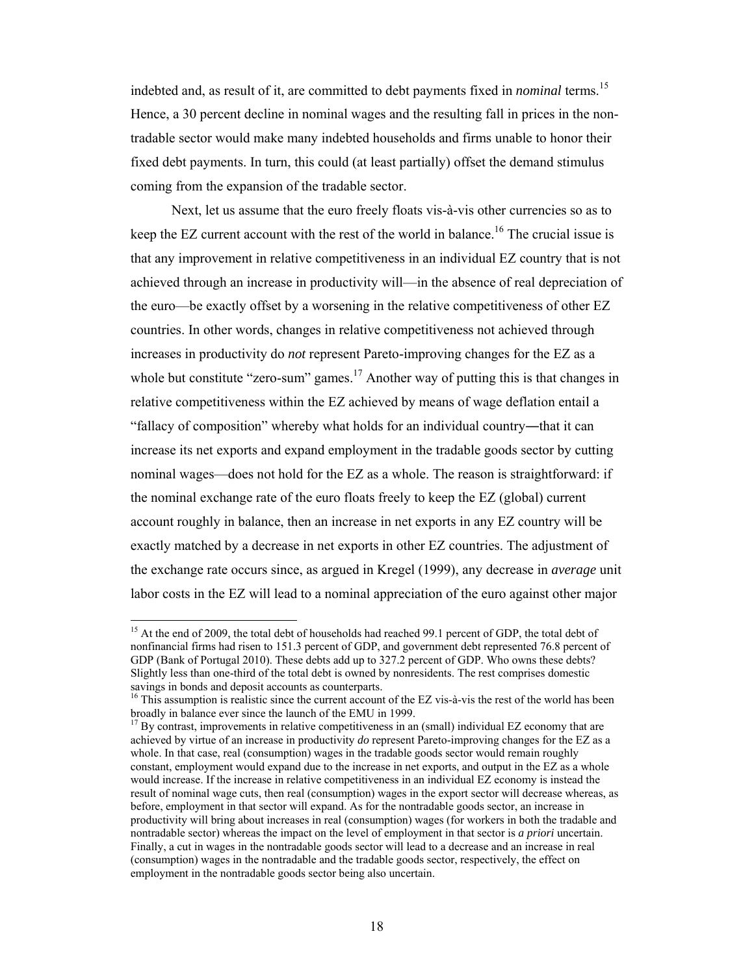indebted and, as result of it, are committed to debt payments fixed in *nominal* terms.<sup>15</sup> Hence, a 30 percent decline in nominal wages and the resulting fall in prices in the nontradable sector would make many indebted households and firms unable to honor their fixed debt payments. In turn, this could (at least partially) offset the demand stimulus coming from the expansion of the tradable sector.

Next, let us assume that the euro freely floats vis-à-vis other currencies so as to keep the EZ current account with the rest of the world in balance.<sup>16</sup> The crucial issue is that any improvement in relative competitiveness in an individual EZ country that is not achieved through an increase in productivity will—in the absence of real depreciation of the euro—be exactly offset by a worsening in the relative competitiveness of other EZ countries. In other words, changes in relative competitiveness not achieved through increases in productivity do *not* represent Pareto-improving changes for the EZ as a whole but constitute "zero-sum" games.<sup>17</sup> Another way of putting this is that changes in relative competitiveness within the EZ achieved by means of wage deflation entail a "fallacy of composition" whereby what holds for an individual country―that it can increase its net exports and expand employment in the tradable goods sector by cutting nominal wages—does not hold for the EZ as a whole. The reason is straightforward: if the nominal exchange rate of the euro floats freely to keep the EZ (global) current account roughly in balance, then an increase in net exports in any EZ country will be exactly matched by a decrease in net exports in other EZ countries. The adjustment of the exchange rate occurs since, as argued in Kregel (1999), any decrease in *average* unit labor costs in the EZ will lead to a nominal appreciation of the euro against other major

<sup>&</sup>lt;sup>15</sup> At the end of 2009, the total debt of households had reached 99.1 percent of GDP, the total debt of nonfinancial firms had risen to 151.3 percent of GDP, and government debt represented 76.8 percent of GDP (Bank of Portugal 2010). These debts add up to 327.2 percent of GDP. Who owns these debts? Slightly less than one-third of the total debt is owned by nonresidents. The rest comprises domestic savings in bonds and deposit accounts as counterparts.

<sup>&</sup>lt;sup>16</sup> This assumption is realistic since the current account of the EZ vis-à-vis the rest of the world has been broadly in balance ever since the launch of the EMU in 1999.

 $17$  By contrast, improvements in relative competitiveness in an (small) individual EZ economy that are achieved by virtue of an increase in productivity *do* represent Pareto-improving changes for the EZ as a whole. In that case, real (consumption) wages in the tradable goods sector would remain roughly constant, employment would expand due to the increase in net exports, and output in the EZ as a whole would increase. If the increase in relative competitiveness in an individual EZ economy is instead the result of nominal wage cuts, then real (consumption) wages in the export sector will decrease whereas, as before, employment in that sector will expand. As for the nontradable goods sector, an increase in productivity will bring about increases in real (consumption) wages (for workers in both the tradable and nontradable sector) whereas the impact on the level of employment in that sector is *a priori* uncertain. Finally, a cut in wages in the nontradable goods sector will lead to a decrease and an increase in real (consumption) wages in the nontradable and the tradable goods sector, respectively, the effect on employment in the nontradable goods sector being also uncertain.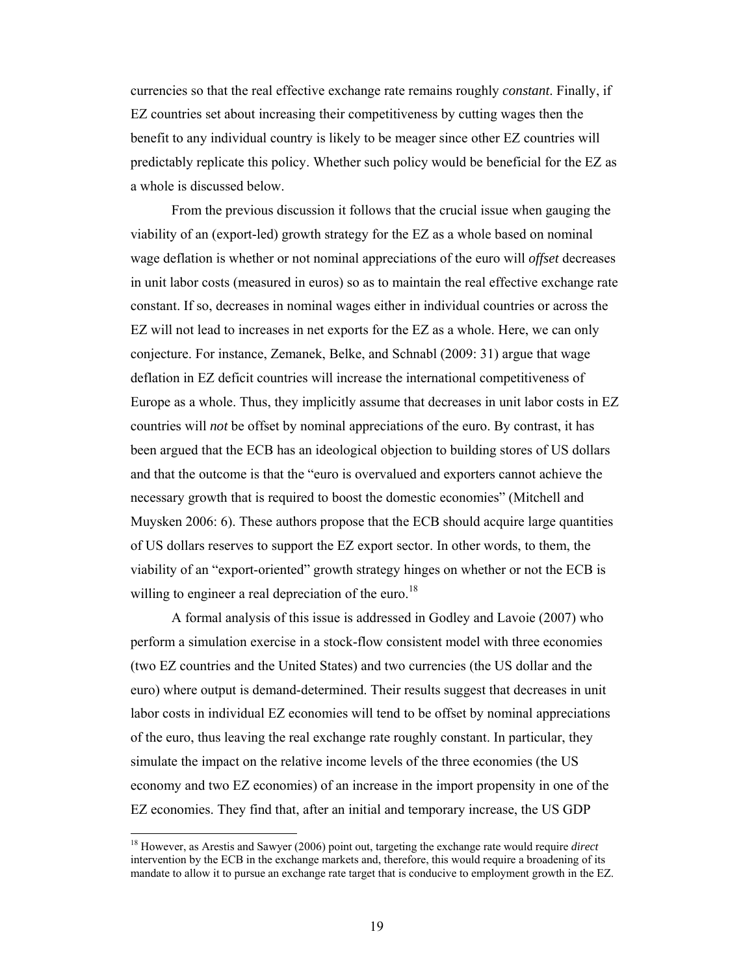currencies so that the real effective exchange rate remains roughly *constant*. Finally, if EZ countries set about increasing their competitiveness by cutting wages then the benefit to any individual country is likely to be meager since other EZ countries will predictably replicate this policy. Whether such policy would be beneficial for the EZ as a whole is discussed below.

From the previous discussion it follows that the crucial issue when gauging the viability of an (export-led) growth strategy for the EZ as a whole based on nominal wage deflation is whether or not nominal appreciations of the euro will *offset* decreases in unit labor costs (measured in euros) so as to maintain the real effective exchange rate constant. If so, decreases in nominal wages either in individual countries or across the EZ will not lead to increases in net exports for the EZ as a whole. Here, we can only conjecture. For instance, Zemanek, Belke, and Schnabl (2009: 31) argue that wage deflation in EZ deficit countries will increase the international competitiveness of Europe as a whole. Thus, they implicitly assume that decreases in unit labor costs in EZ countries will *not* be offset by nominal appreciations of the euro. By contrast, it has been argued that the ECB has an ideological objection to building stores of US dollars and that the outcome is that the "euro is overvalued and exporters cannot achieve the necessary growth that is required to boost the domestic economies" (Mitchell and Muysken 2006: 6). These authors propose that the ECB should acquire large quantities of US dollars reserves to support the EZ export sector. In other words, to them, the viability of an "export-oriented" growth strategy hinges on whether or not the ECB is willing to engineer a real depreciation of the euro.<sup>18</sup>

A formal analysis of this issue is addressed in Godley and Lavoie (2007) who perform a simulation exercise in a stock-flow consistent model with three economies (two EZ countries and the United States) and two currencies (the US dollar and the euro) where output is demand-determined. Their results suggest that decreases in unit labor costs in individual EZ economies will tend to be offset by nominal appreciations of the euro, thus leaving the real exchange rate roughly constant. In particular, they simulate the impact on the relative income levels of the three economies (the US economy and two EZ economies) of an increase in the import propensity in one of the EZ economies. They find that, after an initial and temporary increase, the US GDP

<sup>18</sup> However, as Arestis and Sawyer (2006) point out, targeting the exchange rate would require *direct*  intervention by the ECB in the exchange markets and, therefore, this would require a broadening of its mandate to allow it to pursue an exchange rate target that is conducive to employment growth in the EZ.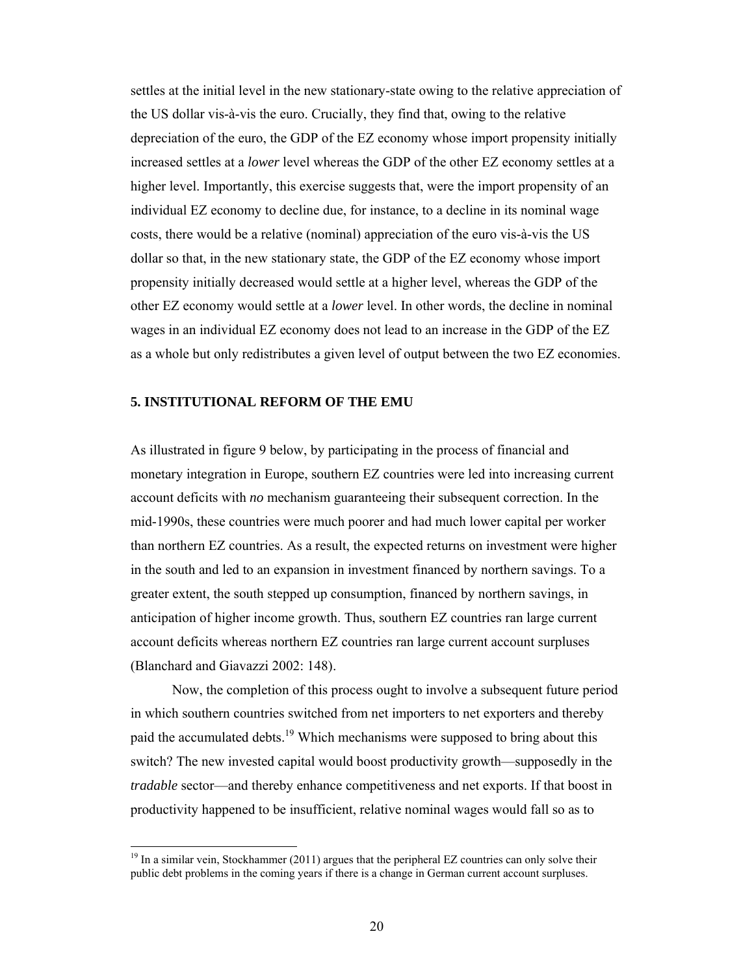settles at the initial level in the new stationary-state owing to the relative appreciation of the US dollar vis-à-vis the euro. Crucially, they find that, owing to the relative depreciation of the euro, the GDP of the EZ economy whose import propensity initially increased settles at a *lower* level whereas the GDP of the other EZ economy settles at a higher level. Importantly, this exercise suggests that, were the import propensity of an individual EZ economy to decline due, for instance, to a decline in its nominal wage costs, there would be a relative (nominal) appreciation of the euro vis-à-vis the US dollar so that, in the new stationary state, the GDP of the EZ economy whose import propensity initially decreased would settle at a higher level, whereas the GDP of the other EZ economy would settle at a *lower* level. In other words, the decline in nominal wages in an individual EZ economy does not lead to an increase in the GDP of the EZ as a whole but only redistributes a given level of output between the two EZ economies.

#### **5. INSTITUTIONAL REFORM OF THE EMU**

 $\overline{a}$ 

As illustrated in figure 9 below, by participating in the process of financial and monetary integration in Europe, southern EZ countries were led into increasing current account deficits with *no* mechanism guaranteeing their subsequent correction. In the mid-1990s, these countries were much poorer and had much lower capital per worker than northern EZ countries. As a result, the expected returns on investment were higher in the south and led to an expansion in investment financed by northern savings. To a greater extent, the south stepped up consumption, financed by northern savings, in anticipation of higher income growth. Thus, southern EZ countries ran large current account deficits whereas northern EZ countries ran large current account surpluses (Blanchard and Giavazzi 2002: 148).

Now, the completion of this process ought to involve a subsequent future period in which southern countries switched from net importers to net exporters and thereby paid the accumulated debts.<sup>19</sup> Which mechanisms were supposed to bring about this switch? The new invested capital would boost productivity growth—supposedly in the *tradable* sector—and thereby enhance competitiveness and net exports. If that boost in productivity happened to be insufficient, relative nominal wages would fall so as to

<sup>&</sup>lt;sup>19</sup> In a similar vein, Stockhammer (2011) argues that the peripheral EZ countries can only solve their public debt problems in the coming years if there is a change in German current account surpluses.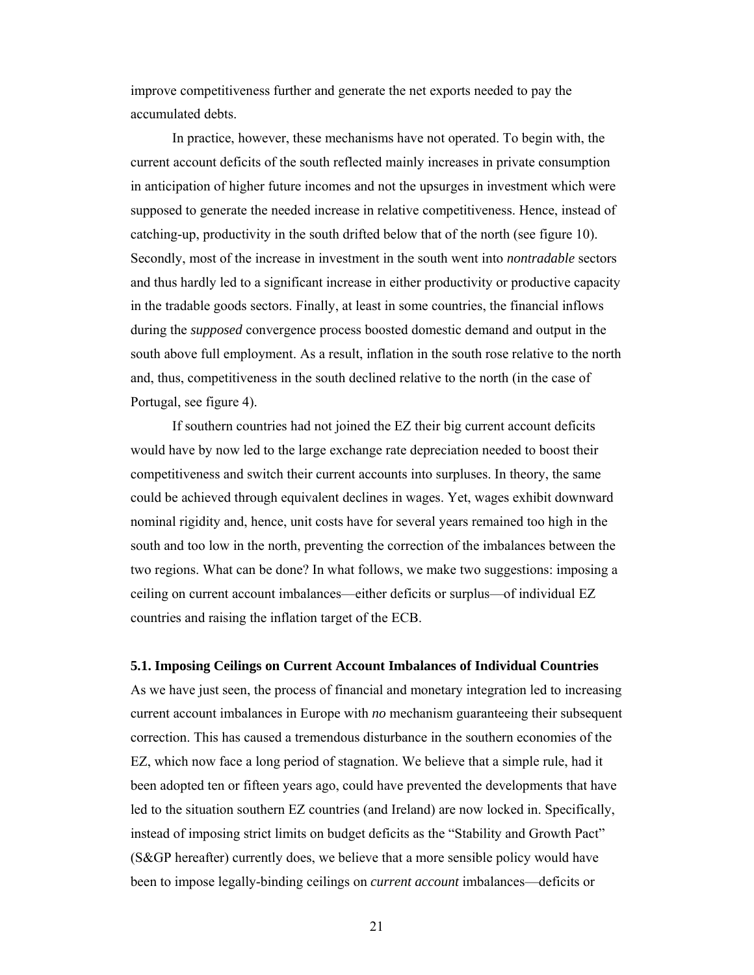improve competitiveness further and generate the net exports needed to pay the accumulated debts.

In practice, however, these mechanisms have not operated. To begin with, the current account deficits of the south reflected mainly increases in private consumption in anticipation of higher future incomes and not the upsurges in investment which were supposed to generate the needed increase in relative competitiveness. Hence, instead of catching-up, productivity in the south drifted below that of the north (see figure 10). Secondly, most of the increase in investment in the south went into *nontradable* sectors and thus hardly led to a significant increase in either productivity or productive capacity in the tradable goods sectors. Finally, at least in some countries, the financial inflows during the *supposed* convergence process boosted domestic demand and output in the south above full employment. As a result, inflation in the south rose relative to the north and, thus, competitiveness in the south declined relative to the north (in the case of Portugal, see figure 4).

If southern countries had not joined the EZ their big current account deficits would have by now led to the large exchange rate depreciation needed to boost their competitiveness and switch their current accounts into surpluses. In theory, the same could be achieved through equivalent declines in wages. Yet, wages exhibit downward nominal rigidity and, hence, unit costs have for several years remained too high in the south and too low in the north, preventing the correction of the imbalances between the two regions. What can be done? In what follows, we make two suggestions: imposing a ceiling on current account imbalances—either deficits or surplus—of individual EZ countries and raising the inflation target of the ECB.

#### **5.1. Imposing Ceilings on Current Account Imbalances of Individual Countries**

As we have just seen, the process of financial and monetary integration led to increasing current account imbalances in Europe with *no* mechanism guaranteeing their subsequent correction. This has caused a tremendous disturbance in the southern economies of the EZ, which now face a long period of stagnation. We believe that a simple rule, had it been adopted ten or fifteen years ago, could have prevented the developments that have led to the situation southern EZ countries (and Ireland) are now locked in. Specifically, instead of imposing strict limits on budget deficits as the "Stability and Growth Pact" (S&GP hereafter) currently does, we believe that a more sensible policy would have been to impose legally-binding ceilings on *current account* imbalances—deficits or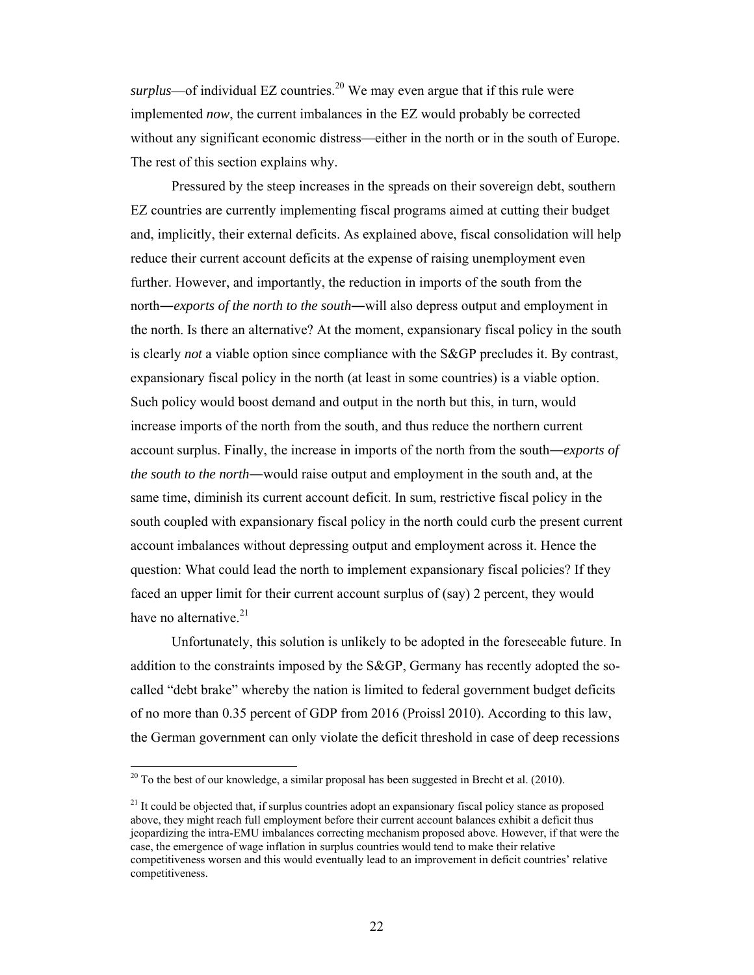*surplus*—of individual EZ countries.<sup>20</sup> We may even argue that if this rule were implemented *now*, the current imbalances in the EZ would probably be corrected without any significant economic distress—either in the north or in the south of Europe. The rest of this section explains why.

 Pressured by the steep increases in the spreads on their sovereign debt, southern EZ countries are currently implementing fiscal programs aimed at cutting their budget and, implicitly, their external deficits. As explained above, fiscal consolidation will help reduce their current account deficits at the expense of raising unemployment even further. However, and importantly, the reduction in imports of the south from the north―*exports of the north to the south*―will also depress output and employment in the north. Is there an alternative? At the moment, expansionary fiscal policy in the south is clearly *not* a viable option since compliance with the S&GP precludes it. By contrast, expansionary fiscal policy in the north (at least in some countries) is a viable option. Such policy would boost demand and output in the north but this, in turn, would increase imports of the north from the south, and thus reduce the northern current account surplus. Finally, the increase in imports of the north from the south―*exports of the south to the north*―would raise output and employment in the south and, at the same time, diminish its current account deficit. In sum, restrictive fiscal policy in the south coupled with expansionary fiscal policy in the north could curb the present current account imbalances without depressing output and employment across it. Hence the question: What could lead the north to implement expansionary fiscal policies? If they faced an upper limit for their current account surplus of (say) 2 percent, they would have no alternative. $21$ 

Unfortunately, this solution is unlikely to be adopted in the foreseeable future. In addition to the constraints imposed by the S&GP, Germany has recently adopted the socalled "debt brake" whereby the nation is limited to federal government budget deficits of no more than 0.35 percent of GDP from 2016 (Proissl 2010). According to this law, the German government can only violate the deficit threshold in case of deep recessions

 $20$  To the best of our knowledge, a similar proposal has been suggested in Brecht et al. (2010).

 $21$  It could be objected that, if surplus countries adopt an expansionary fiscal policy stance as proposed above, they might reach full employment before their current account balances exhibit a deficit thus jeopardizing the intra-EMU imbalances correcting mechanism proposed above. However, if that were the case, the emergence of wage inflation in surplus countries would tend to make their relative competitiveness worsen and this would eventually lead to an improvement in deficit countries' relative competitiveness.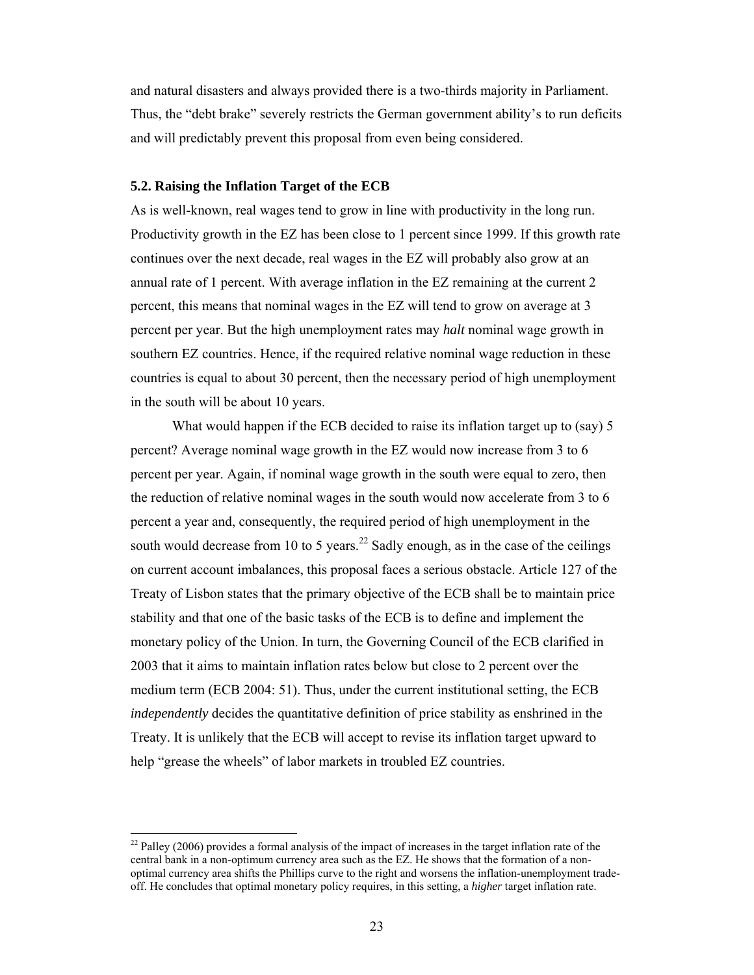and natural disasters and always provided there is a two-thirds majority in Parliament. Thus, the "debt brake" severely restricts the German government ability's to run deficits and will predictably prevent this proposal from even being considered.

#### **5.2. Raising the Inflation Target of the ECB**

As is well-known, real wages tend to grow in line with productivity in the long run. Productivity growth in the EZ has been close to 1 percent since 1999. If this growth rate continues over the next decade, real wages in the EZ will probably also grow at an annual rate of 1 percent. With average inflation in the EZ remaining at the current 2 percent, this means that nominal wages in the EZ will tend to grow on average at 3 percent per year. But the high unemployment rates may *halt* nominal wage growth in southern EZ countries. Hence, if the required relative nominal wage reduction in these countries is equal to about 30 percent, then the necessary period of high unemployment in the south will be about 10 years.

What would happen if the ECB decided to raise its inflation target up to (say) 5 percent? Average nominal wage growth in the EZ would now increase from 3 to 6 percent per year. Again, if nominal wage growth in the south were equal to zero, then the reduction of relative nominal wages in the south would now accelerate from 3 to 6 percent a year and, consequently, the required period of high unemployment in the south would decrease from 10 to 5 years.<sup>22</sup> Sadly enough, as in the case of the ceilings on current account imbalances, this proposal faces a serious obstacle. Article 127 of the Treaty of Lisbon states that the primary objective of the ECB shall be to maintain price stability and that one of the basic tasks of the ECB is to define and implement the monetary policy of the Union. In turn, the Governing Council of the ECB clarified in 2003 that it aims to maintain inflation rates below but close to 2 percent over the medium term (ECB 2004: 51). Thus, under the current institutional setting, the ECB *independently* decides the quantitative definition of price stability as enshrined in the Treaty. It is unlikely that the ECB will accept to revise its inflation target upward to help "grease the wheels" of labor markets in troubled EZ countries.

 $22$  Palley (2006) provides a formal analysis of the impact of increases in the target inflation rate of the central bank in a non-optimum currency area such as the EZ. He shows that the formation of a nonoptimal currency area shifts the Phillips curve to the right and worsens the inflation-unemployment tradeoff. He concludes that optimal monetary policy requires, in this setting, a *higher* target inflation rate.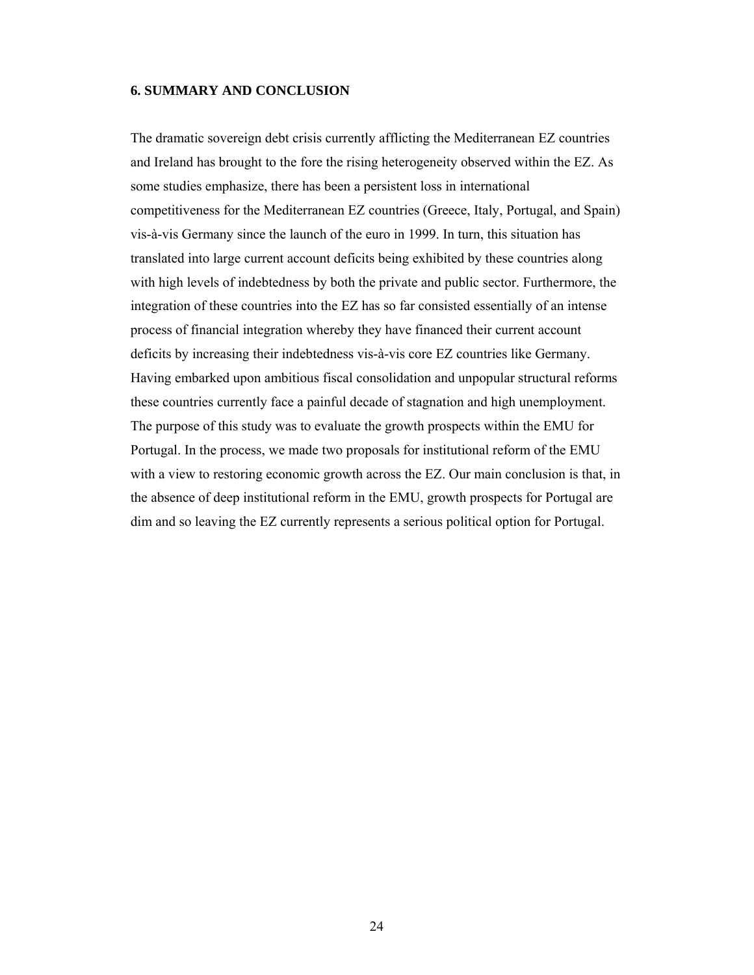## **6. SUMMARY AND CONCLUSION**

The dramatic sovereign debt crisis currently afflicting the Mediterranean EZ countries and Ireland has brought to the fore the rising heterogeneity observed within the EZ. As some studies emphasize, there has been a persistent loss in international competitiveness for the Mediterranean EZ countries (Greece, Italy, Portugal, and Spain) vis-à-vis Germany since the launch of the euro in 1999. In turn, this situation has translated into large current account deficits being exhibited by these countries along with high levels of indebtedness by both the private and public sector. Furthermore, the integration of these countries into the EZ has so far consisted essentially of an intense process of financial integration whereby they have financed their current account deficits by increasing their indebtedness vis-à-vis core EZ countries like Germany. Having embarked upon ambitious fiscal consolidation and unpopular structural reforms these countries currently face a painful decade of stagnation and high unemployment. The purpose of this study was to evaluate the growth prospects within the EMU for Portugal. In the process, we made two proposals for institutional reform of the EMU with a view to restoring economic growth across the EZ. Our main conclusion is that, in the absence of deep institutional reform in the EMU, growth prospects for Portugal are dim and so leaving the EZ currently represents a serious political option for Portugal.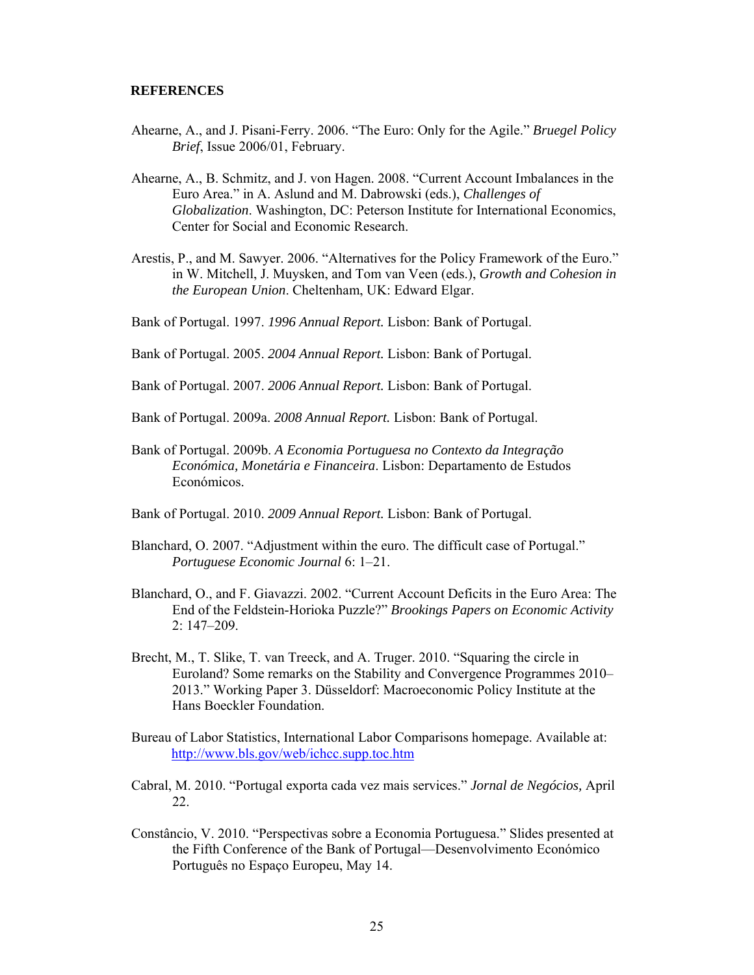#### **REFERENCES**

- Ahearne, A., and J. Pisani-Ferry. 2006. "The Euro: Only for the Agile." *Bruegel Policy Brief*, Issue 2006/01, February.
- Ahearne, A., B. Schmitz, and J. von Hagen. 2008. "Current Account Imbalances in the Euro Area." in A. Aslund and M. Dabrowski (eds.), *Challenges of Globalization*. Washington, DC: Peterson Institute for International Economics, Center for Social and Economic Research.
- Arestis, P., and M. Sawyer. 2006. "Alternatives for the Policy Framework of the Euro." in W. Mitchell, J. Muysken, and Tom van Veen (eds.), *Growth and Cohesion in the European Union*. Cheltenham, UK: Edward Elgar.
- Bank of Portugal. 1997. *1996 Annual Report.* Lisbon: Bank of Portugal.
- Bank of Portugal. 2005. *2004 Annual Report.* Lisbon: Bank of Portugal.
- Bank of Portugal. 2007. *2006 Annual Report.* Lisbon: Bank of Portugal.
- Bank of Portugal. 2009a. *2008 Annual Report.* Lisbon: Bank of Portugal.
- Bank of Portugal. 2009b. *A Economia Portuguesa no Contexto da Integração Económica, Monetária e Financeira*. Lisbon: Departamento de Estudos Económicos.
- Bank of Portugal. 2010. *2009 Annual Report.* Lisbon: Bank of Portugal.
- Blanchard, O. 2007. "Adjustment within the euro. The difficult case of Portugal." *Portuguese Economic Journal* 6: 1–21.
- Blanchard, O., and F. Giavazzi. 2002. "Current Account Deficits in the Euro Area: The End of the Feldstein-Horioka Puzzle?" *Brookings Papers on Economic Activity* 2: 147–209.
- Brecht, M., T. Slike, T. van Treeck, and A. Truger. 2010. "Squaring the circle in Euroland? Some remarks on the Stability and Convergence Programmes 2010– 2013." Working Paper 3. Düsseldorf: Macroeconomic Policy Institute at the Hans Boeckler Foundation.
- Bureau of Labor Statistics, International Labor Comparisons homepage. Available at: http://www.bls.gov/web/ichcc.supp.toc.htm
- Cabral, M. 2010. "Portugal exporta cada vez mais services." *Jornal de Negócios,* April 22.
- Constâncio, V. 2010. "Perspectivas sobre a Economia Portuguesa." Slides presented at the Fifth Conference of the Bank of Portugal—Desenvolvimento Económico Português no Espaço Europeu, May 14.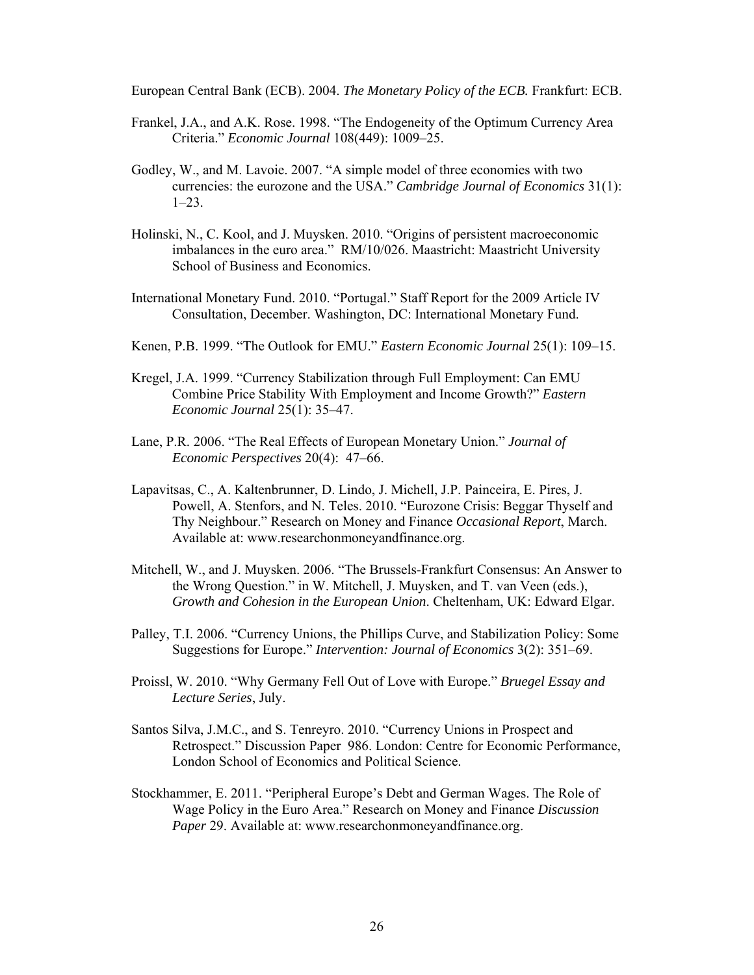European Central Bank (ECB). 2004. *The Monetary Policy of the ECB.* Frankfurt: ECB.

- Frankel, J.A., and A.K. Rose. 1998. "The Endogeneity of the Optimum Currency Area Criteria." *Economic Journal* 108(449): 1009–25.
- Godley, W., and M. Lavoie. 2007. "A simple model of three economies with two currencies: the eurozone and the USA." *Cambridge Journal of Economics* 31(1): 1–23.
- Holinski, N., C. Kool, and J. Muysken. 2010. "Origins of persistent macroeconomic imbalances in the euro area." RM/10/026. Maastricht: Maastricht University School of Business and Economics.
- International Monetary Fund. 2010. "Portugal." Staff Report for the 2009 Article IV Consultation, December. Washington, DC: International Monetary Fund.
- Kenen, P.B. 1999. "The Outlook for EMU." *Eastern Economic Journal* 25(1): 109–15.
- Kregel, J.A. 1999. "Currency Stabilization through Full Employment: Can EMU Combine Price Stability With Employment and Income Growth?" *Eastern Economic Journal* 25(1): 35–47.
- Lane, P.R. 2006. "The Real Effects of European Monetary Union." *Journal of Economic Perspectives* 20(4): 47–66.
- Lapavitsas, C., A. Kaltenbrunner, D. Lindo, J. Michell, J.P. Painceira, E. Pires, J. Powell, A. Stenfors, and N. Teles. 2010. "Eurozone Crisis: Beggar Thyself and Thy Neighbour." Research on Money and Finance *Occasional Report*, March. Available at: www.researchonmoneyandfinance.org.
- Mitchell, W., and J. Muysken. 2006. "The Brussels-Frankfurt Consensus: An Answer to the Wrong Question." in W. Mitchell, J. Muysken, and T. van Veen (eds.), *Growth and Cohesion in the European Union*. Cheltenham, UK: Edward Elgar.
- Palley, T.I. 2006. "Currency Unions, the Phillips Curve, and Stabilization Policy: Some Suggestions for Europe." *Intervention: Journal of Economics* 3(2): 351–69.
- Proissl, W. 2010. "Why Germany Fell Out of Love with Europe." *Bruegel Essay and Lecture Series*, July.
- Santos Silva, J.M.C., and S. Tenreyro. 2010. "Currency Unions in Prospect and Retrospect." Discussion Paper 986. London: Centre for Economic Performance, London School of Economics and Political Science.
- Stockhammer, E. 2011. "Peripheral Europe's Debt and German Wages. The Role of Wage Policy in the Euro Area." Research on Money and Finance *Discussion Paper* 29. Available at: www.researchonmoneyandfinance.org.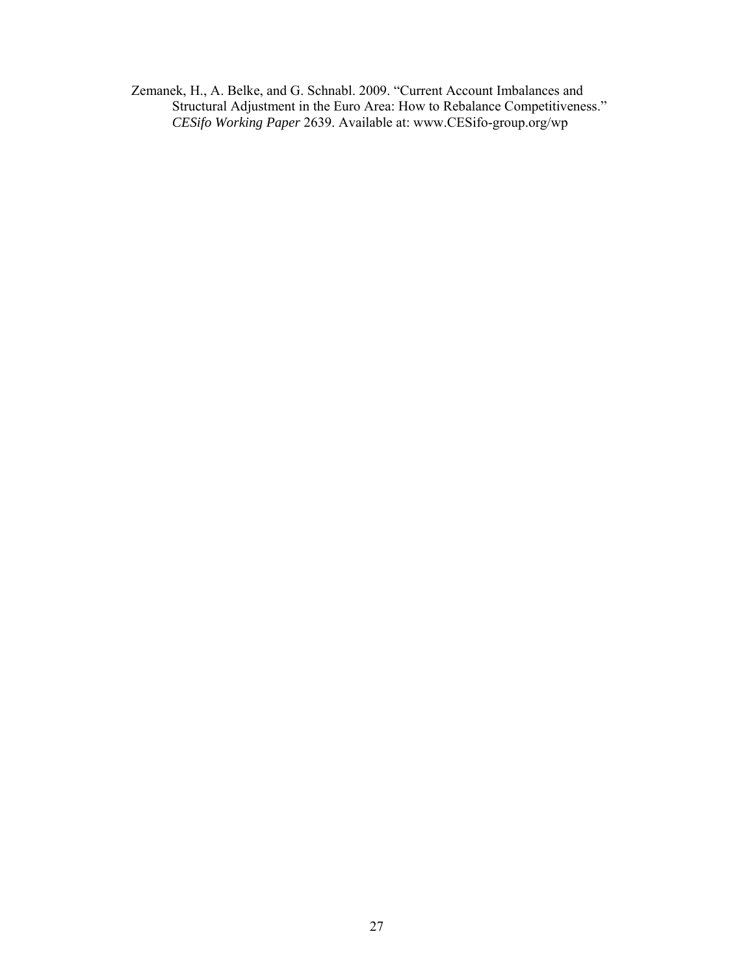Zemanek, H., A. Belke, and G. Schnabl. 2009. "Current Account Imbalances and Structural Adjustment in the Euro Area: How to Rebalance Competitiveness." *CESifo Working Paper* 2639. Available at: www.CESifo-group.org/wpT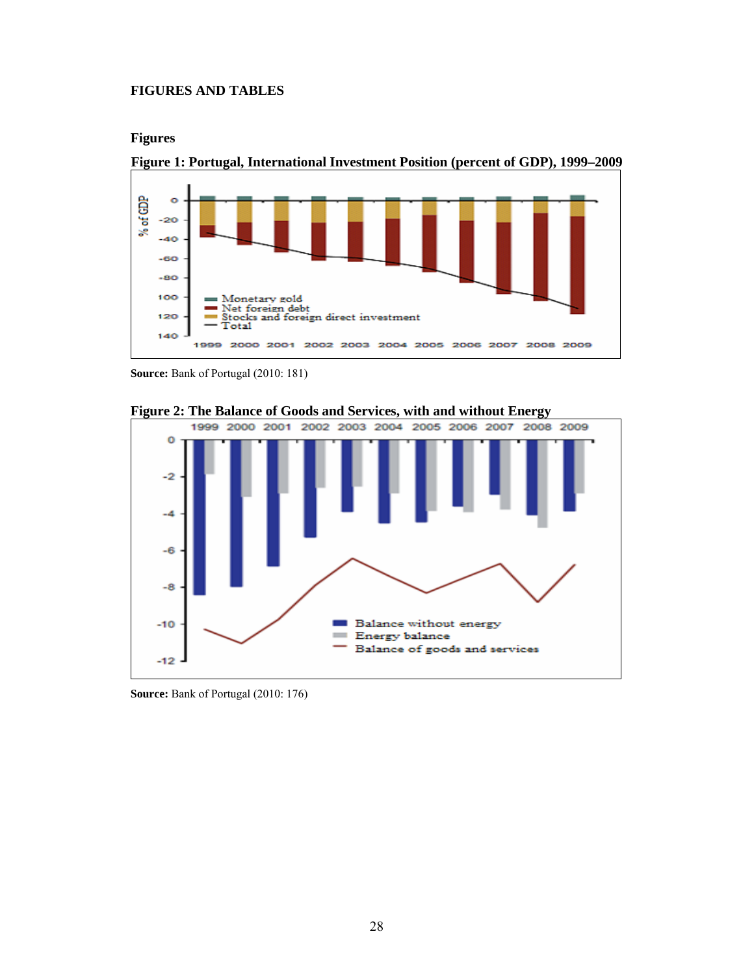## **FIGURES AND TABLES**

**Figures** 





**Source:** Bank of Portugal (2010: 181)





**Source:** Bank of Portugal (2010: 176)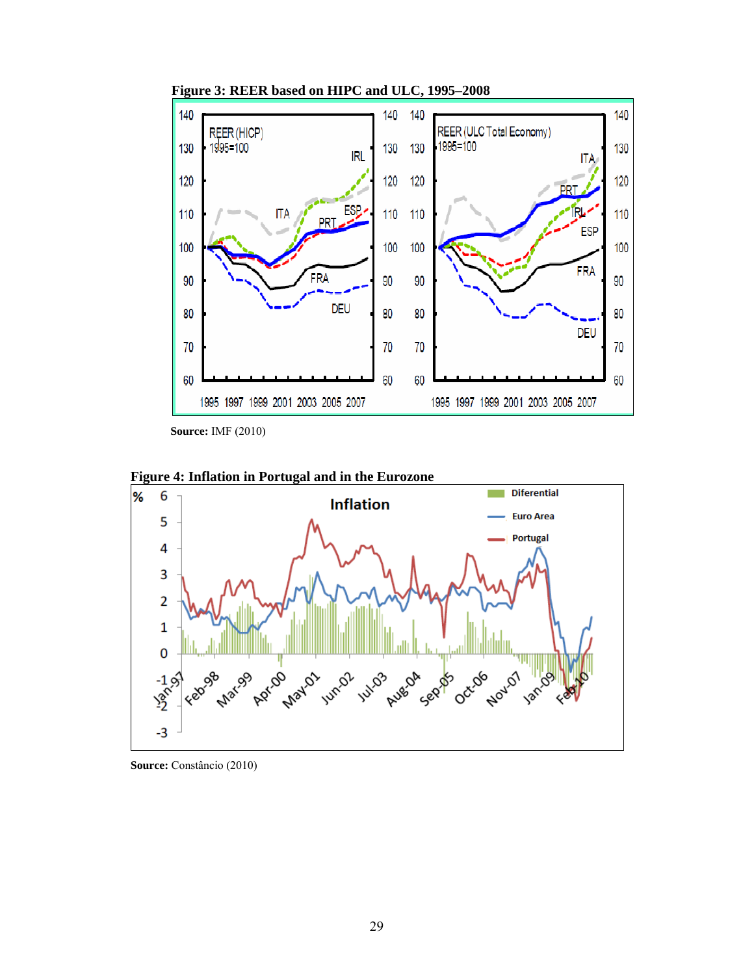

**Figure 3: REER based on HIPC and ULC, 1995–2008** 

 **Source:** IMF (2010)





**Source:** Constâncio (2010)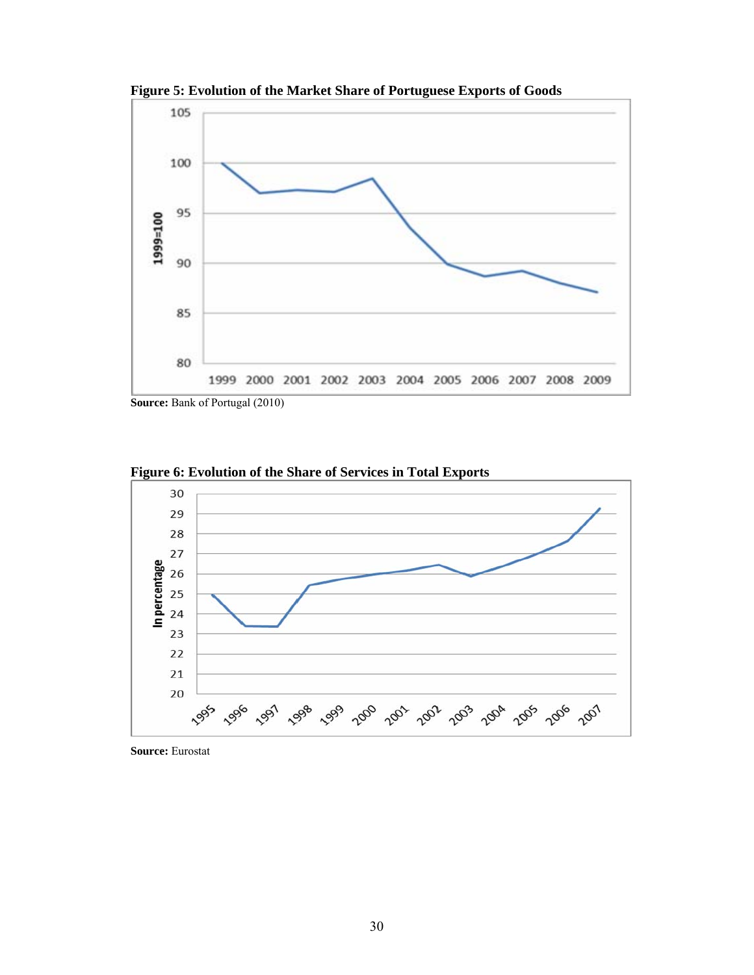

**Figure 5: Evolution of the Market Share of Portuguese Exports of Goods** 

**Source: Bank of Portugal (2010)** 





**Source:** Eurostat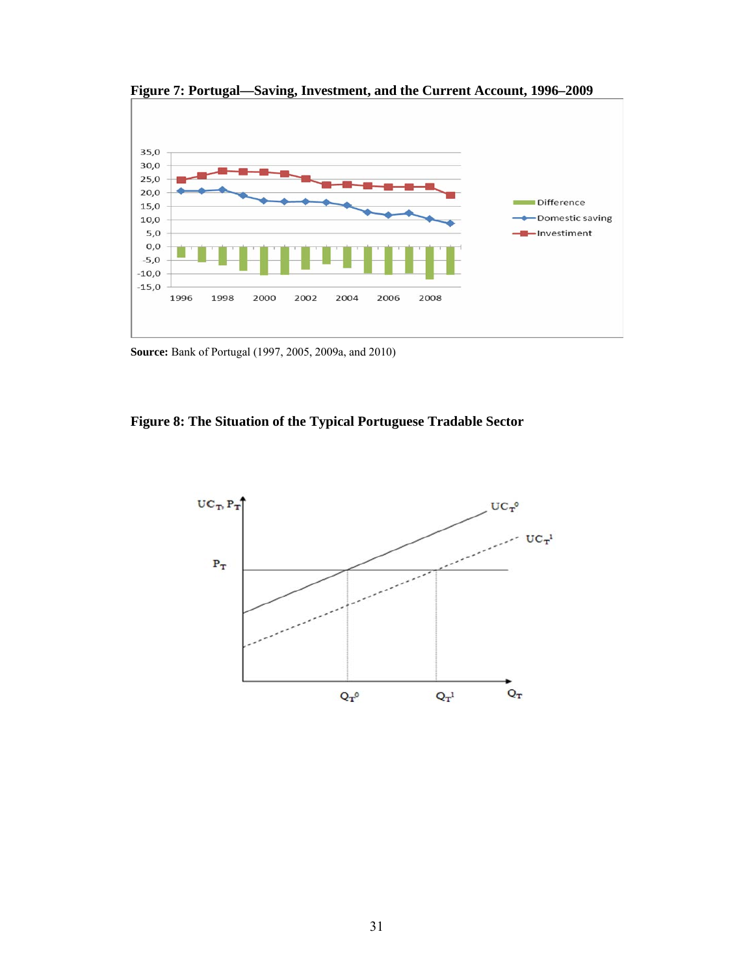

**Figure 7: Portugal—Saving, Investment, and the Current Account, 1996–2009** 

**Source:** Bank of Portugal (1997, 2005, 2009a, and 2010)



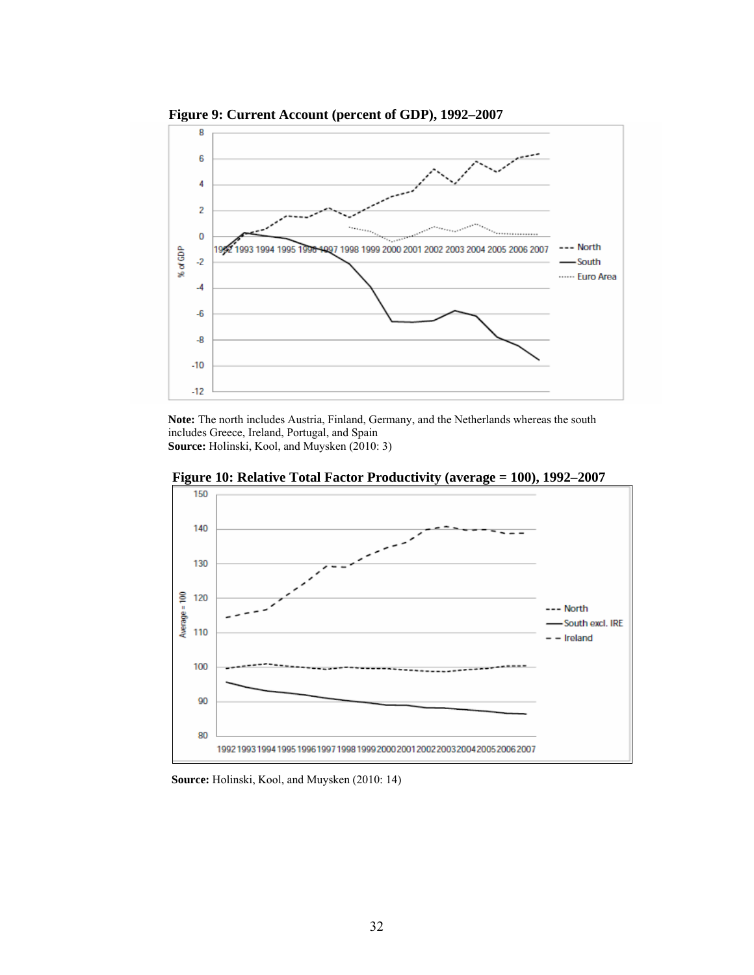

 **Figure 9: Current Account (percent of GDP), 1992–2007** 

 **Note:** The north includes Austria, Finland, Germany, and the Netherlands whereas the south includes Greece, Ireland, Portugal, and Spain **Source:** Holinski, Kool, and Muysken (2010: 3)



 **Figure 10: Relative Total Factor Productivity (average = 100), 1992–2007** 

**Source:** Holinski, Kool, and Muysken (2010: 14)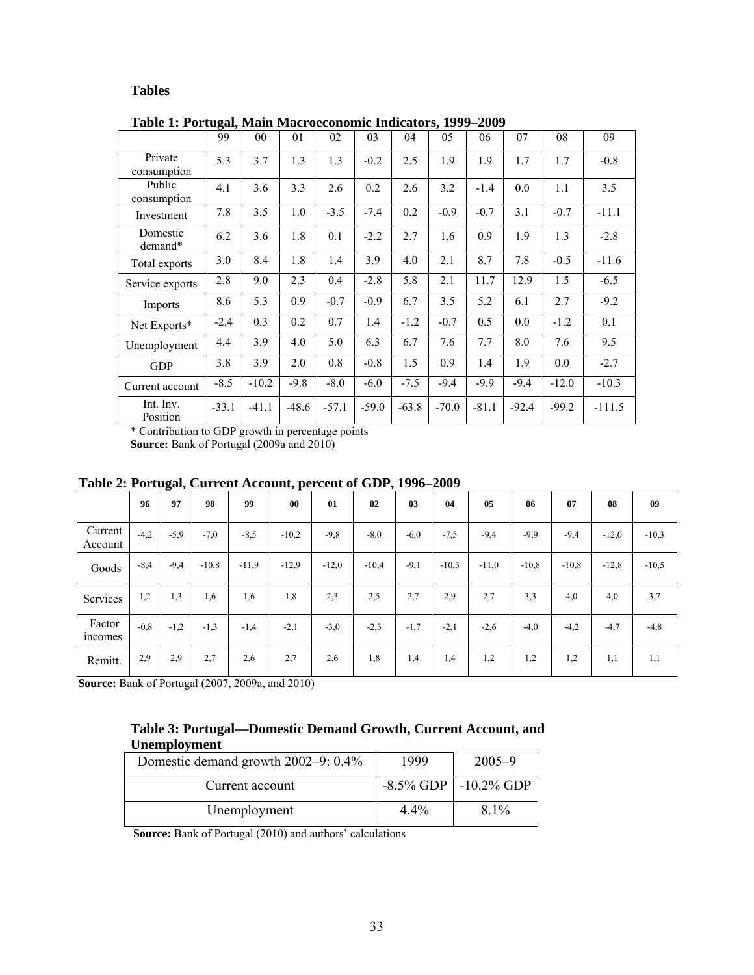## **Tables**

|                        | 99      | 00      | 01      | 02      | 03      | 04      | 05      | 06      | 07      | 08      | 09       |
|------------------------|---------|---------|---------|---------|---------|---------|---------|---------|---------|---------|----------|
| Private<br>consumption | 5.3     | 3.7     | 1.3     | 1.3     | $-0.2$  | 2.5     | 1.9     | 1.9     | 1.7     | 1.7     | $-0.8$   |
| Public<br>consumption  | 4.1     | 3.6     | 3.3     | 2.6     | 0.2     | 2.6     | 3.2     | $-1.4$  | 0.0     | 1.1     | 3.5      |
| Investment             | 7.8     | 3.5     | 1.0     | $-3.5$  | $-7.4$  | 0.2     | $-0.9$  | $-0.7$  | 3.1     | $-0.7$  | $-11.1$  |
| Domestic<br>demand*    | 6.2     | 3.6     | 1.8     | 0.1     | $-2.2$  | 2.7     | 1,6     | 0.9     | 1.9     | 1.3     | $-2.8$   |
| Total exports          | 3.0     | 8.4     | 1.8     | 1.4     | 3.9     | 4.0     | 2.1     | 8.7     | 7.8     | $-0.5$  | $-11.6$  |
| Service exports        | 2.8     | 9.0     | 2.3     | 0.4     | $-2.8$  | 5.8     | 2.1     | 11.7    | 12.9    | 1.5     | $-6.5$   |
| Imports                | 8.6     | 5.3     | 0.9     | $-0.7$  | $-0.9$  | 6.7     | 3.5     | 5.2     | 6.1     | 2.7     | $-9.2$   |
| Net Exports*           | $-2.4$  | 0.3     | 0.2     | 0.7     | 1.4     | $-1.2$  | $-0.7$  | 0.5     | 0.0     | $-1.2$  | 0.1      |
| Unemployment           | 4.4     | 3.9     | 4.0     | 5.0     | 6.3     | 6.7     | 7.6     | 7.7     | 8.0     | 7.6     | 9.5      |
| <b>GDP</b>             | 3.8     | 3.9     | 2.0     | 0.8     | $-0.8$  | 1.5     | 0.9     | 1.4     | 1.9     | 0.0     | $-2.7$   |
| Current account        | $-8.5$  | $-10.2$ | $-9.8$  | $-8.0$  | $-6.0$  | $-7.5$  | $-9.4$  | $-9.9$  | $-9.4$  | $-12.0$ | $-10.3$  |
| Int. Inv.<br>Position  | $-33.1$ | $-41.1$ | $-48.6$ | $-57.1$ | $-59.0$ | $-63.8$ | $-70.0$ | $-81.1$ | $-92.4$ | $-99.2$ | $-111.5$ |

**Table 1: Portugal, Main Macroeconomic Indicators, 1999–2009**

\* Contribution to GDP growth in percentage points

**Source:** Bank of Portugal (2009a and 2010)

# **Table 2: Portugal, Current Account, percent of GDP, 1996–2009**

|                          | 96     | 97     | 98      | 99      | 00      | 01      | 02      | 03     | 04      | 05      | 06      | 07      | 08      | 09      |
|--------------------------|--------|--------|---------|---------|---------|---------|---------|--------|---------|---------|---------|---------|---------|---------|
| Current<br>Account       | $-4,2$ | $-5,9$ | $-7,0$  | $-8,5$  | $-10,2$ | $-9,8$  | $-8.0$  | $-6,0$ | $-7,5$  | $-9,4$  | $-9.9$  | $-9,4$  | $-12,0$ | $-10,3$ |
| Goods                    | $-8,4$ | $-9,4$ | $-10,8$ | $-11,9$ | $-12.9$ | $-12,0$ | $-10,4$ | $-9,1$ | $-10.3$ | $-11,0$ | $-10,8$ | $-10,8$ | $-12,8$ | $-10,5$ |
| Services                 | 1,2    | 1,3    | 1,6     | 1,6     | 1,8     | 2,3     | 2,5     | 2,7    | 2,9     | 2,7     | 3,3     | 4,0     | 4,0     | 3,7     |
| Factor<br><i>n</i> comes | $-0.8$ | $-1,2$ | $-1,3$  | $-1,4$  | $-2,1$  | $-3,0$  | $-2,3$  | $-1,7$ | $-2,1$  | $-2,6$  | $-4,0$  | $-4,2$  | $-4,7$  | $-4,8$  |
| Remitt.                  | 2,9    | 2,9    | 2,7     | 2,6     | 2,7     | 2,6     | 1,8     | 1,4    | 1,4     | 1,2     | 1,2     | 1,2     | 1,1     | 1,1     |

**Source:** Bank of Portugal (2007, 2009a, and 2010)

# **Table 3: Portugal—Domestic Demand Growth, Current Account, and Unemployment**

| Domestic demand growth 2002–9: 0.4% | 1999    | $2005 - 9$                   |
|-------------------------------------|---------|------------------------------|
| Current account                     |         | $-8.5\%$ GDP   $-10.2\%$ GDP |
| Unemployment                        | $4.4\%$ | 81%                          |

**Source:** Bank of Portugal (2010) and authors' calculations